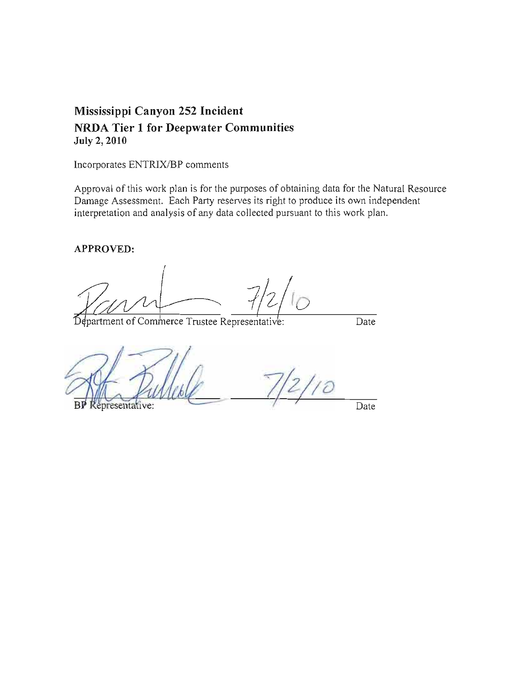# **Mississippi Canyon 252 Incident NRDA Tier 1 for Deepwater Communities July 2, 2010**

Incorporates ENTRIX/BP comments

Approval of this work plan is for the purposes of obtaining data for the Natural Resource Damage Assessment. Each Party reserves its right to produce its own independent interpretation and analysis of any data collected pursuant to this work plan.

#### **APPROVED:**

Department of Commerce Trustee Representative:

B épresentative:

Date

 $7/2/10$ 

Date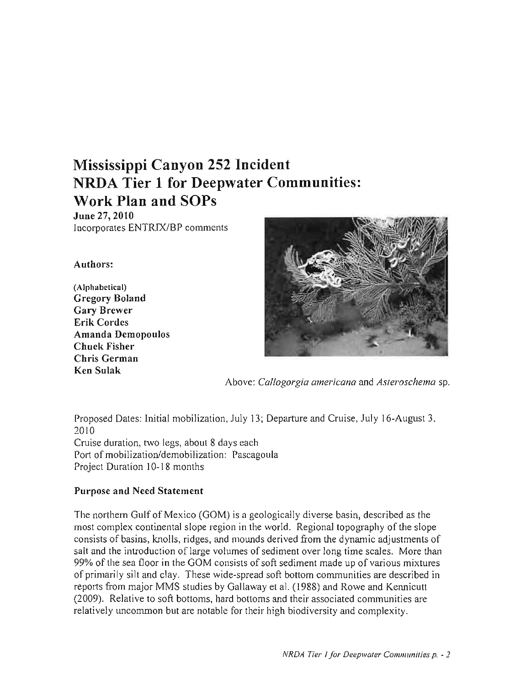# Mississippi Canyon 252 Incident NRDA Tier 1 for Deepwater Communities: Work Plan and SOPs

June 27, 2010 Incorporates ENTRIX/BP comments

#### Authors:

(Alphabetical) Gregory Boland Gary Brewer Erik Cordes Amanda Demopoulos Chuck Fisher Chris German Ken Sulak



Above: *Cal/ogorgia americana* and *Asleroschema* sp.

Proposed Dates: Initial mobilization, July 13; Departure and Cruise, July 16-August 3, 2010 Cruise duration, two legs, about 8 days each Port of mobilization/demobilization: Pascagoula Project Duration 10-18 months

### Purpose and Need Statement

The northern Gulf of Mexico (GOM) is a geologically diverse basin, described as the most complex continental slope region in the world. Regional topography of the slope consists of basins, knolls, ridges, and mounds derived from the dynamic adjustments of salt and the introduction of large volumes of sediment over long time scales. More than 99% of the sea floor in the GOM consists of soft sediment made up of various mixtures of primarily silt and clay. These wide-spread soft bottom communities are described in reports from major MMS studies by Gallaway et al. (1988) and Rowe and Kennicutt (2009). Relative to soft bottoms, hard bottoms and their associated communities are relatively uncommon but are notable for their high biodiversity and complexity.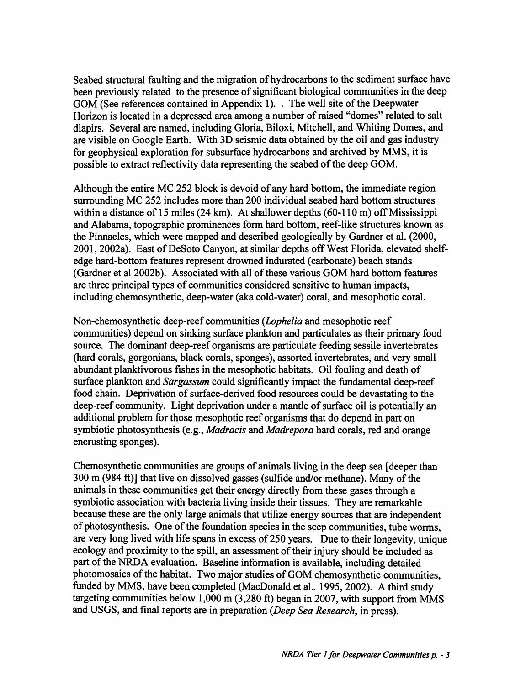Seabed structural faulting and the migration of hydrocarbons to the sediment surface have been previously related to the presence of significant biological communities in the deep GOM (See references contained in Appendix 1). . The well site of the Deepwater Horizon is located in a depressed area among a number of raised "domes" related to salt diapirs. Several are named, including Gloria, Biloxi, Mitchell, and Whiting Domes, and are visible on Google Earth. With 3D seismic data obtained by the oil and gas industry for geophysical exploration for subsurface hydrocarbons and archived by MMS, it is possible to extract reflectivity data representing the seabed of the deep GOM.

Although the entire MC 252 block is devoid of any hard bottom, the immediate region surrounding MC 252 includes more than 200 individual seabed hard bottom structures within a distance of 15 miles (24 km). At shallower depths (60-110 m) off Mississippi and Alabama, topographic prominences form hard bottom, reef-like structures known as the Pinnacles, which were mapped and described geologically by Gardner et al. (2000, 2001,2002a). East of DeSoto Canyon, at similar depths off West Florida, elevated shelfedge hard-bottom features represent drowned indurated (carbonate) beach stands (Gardner et al 2002b). Associated with all of these various GOM hard bottom features are three principal types of communities considered sensitive to human impacts, including chemosynthetic, deep-water (aka cold-water) coral, and mesophotic coral.

Non-chemosynthetic deep-reef communities *(Lophelia* and mesophotic reef communities) depend on sinking surface plankton and particulates as their primary food source. The dominant deep-reef organisms are particulate feeding sessile invertebrates (hard corals, gorgonians, black corals, sponges), assorted invertebrates, and very small abundant planktivorous fishes in the mesophotic habitats. Oil fouling and death of surface plankton and *Sargassum* could significantly impact the fundamental deep-reef food chain. Deprivation of surface-derived food resources could be devastating to the deep-reef community. Light deprivation under a mantle of surface oil is potentially an additional problem for those mesophotic reef organisms that do depend in part on symbiotic photosynthesis (e.g., *Madracis* and *Madrepora* hard corals, red and orange encrusting sponges).

Chemosynthetic communities are groups of animals living in the deep sea [deeper than 300 m (984 ft)] that live on dissolved gasses (sulfide and/or methane). Many of the animals in these communities get their energy directly from these gases through a symbiotic association with bacteria living inside their tissues. They are remarkable because these are the only large animals that utilize energy sources that are independent of photosynthesis. One of the foundation species in the seep communities, tube worms, are very long lived with life spans in excess of250 years. Due to their longevity, unique ecology and proximity to the spill, an assessment of their injury should be included as part of the NRDA evaluation. Baseline information is available, including detailed photomosaics of the habitat. Two major studies of GOM chemosynthetic communities, funded by MMS, have been completed (MacDonald et al.. 1995, 2002). A third study targeting communities below 1,000 m (3,280 ft) began in 2007, with support from MMS and USGS, and final reports are in preparation *(Deep Sea Research,* in press).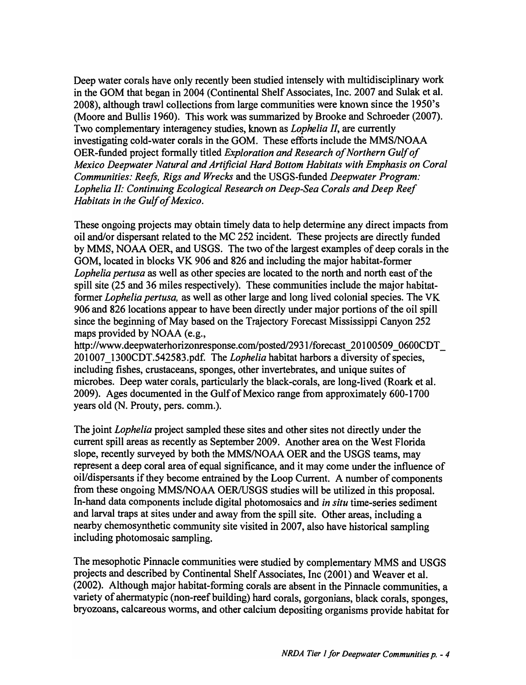Deep water corals have only recently been studied intensely with multidisciplinary work in the GOM that began in 2004 (Continental Shelf Associates, Inc. 2007 and Sulak et al. 2008), although trawl collections from large communities were known since the 1950's (Moore and Bullis 1960). This work was summarized by Brooke and Schroeder (2007). Two complementary interagency studies, known as *Lophelia II,* are currently investigating cold-water corals in the GOM. These efforts include the MMS/NOAA OER-funded project formally titled *Exploration and Research of Northern Gulfof Mexico Deepwater Natural and Artificial Hard Bottom Habitats with Emphasis on Coral Communities: Reefs, Rigs and Wrecks* and the USGS-funded *Deepwater Program: Lophelia II: Continuing Ecological Research on Deep-Sea Corals and Deep Reef Habitats in the Gulf of Mexico.* 

These ongoing projects may obtain timely data to help determine any direct impacts from oil and/or dispersant related to the MC 252 incident. These projects are directly funded by MMS, NOAA OER, and USGS. The two of the largest examples of deep corals in the GOM, located in blocks VK 906 and 826 and including the major habitat-former *Lophelia pertusa* as well as other species are located to the north and north east of the spill site (25 and 36 miles respectively). These communities include the major habitatformer *Lophelia pertusa,* as well as other large and long lived colonial species. The VK 906 and 826 locations appear to have been directly under major portions of the oil spill since the beginning of May based on the Trajectory Forecast Mississippi Canyon 252 maps provided by NOAA (e.g.,

http://www.deepwaterhorizonresponse.com/posted/2931/forecast\_ 20100509\_0600CDT 201007 \_1300CDT.542583.pdf. The *Lophelia* habitat harbors a diversity of species, including fishes, crustaceans, sponges, other invertebrates, and unique suites of microbes. Deep water corals, particularly the black-corals, are long-lived (Roark et al. 2009). Ages documented in the Gulf of Mexico range from approximately 600-1700 years old (N. Prouty, pers. comm.).

The joint *Lophelia* project sampled these sites and other sites not directly under the current spill areas as recently as September 2009. Another area on the West Florida slope, recently surveyed by both the MMS/NOAA OER and the USGS teams, may represent a deep coral area of equal significance, and it may come under the influence of oil/dispersants if they become entrained by the Loop Current. A number of components from these ongoing MMS/NOAA OER/USGS studies will be utilized in this proposal. In-hand data components include digital photomosaics and *in situ* time-series sediment and larval traps at sites under and away from the spill site. Other areas, including a nearby chemosynthetic community site visited in 2007, also have historical sampling including photomosaic sampling.

The mesophotic Pinnacle communities were studied by complementary MMS and USGS projects and described by Continental Shelf Associates, Inc (2001) and Weaver et al. (2002). Although major habitat-forming corals are absent in the Pinnacle communities, a variety of ahermatypic (non-reef building) hard corals, gorgonians, black corals, sponges, bryozoans, calcareous worms, and other calcium depositing organisms provide habitat for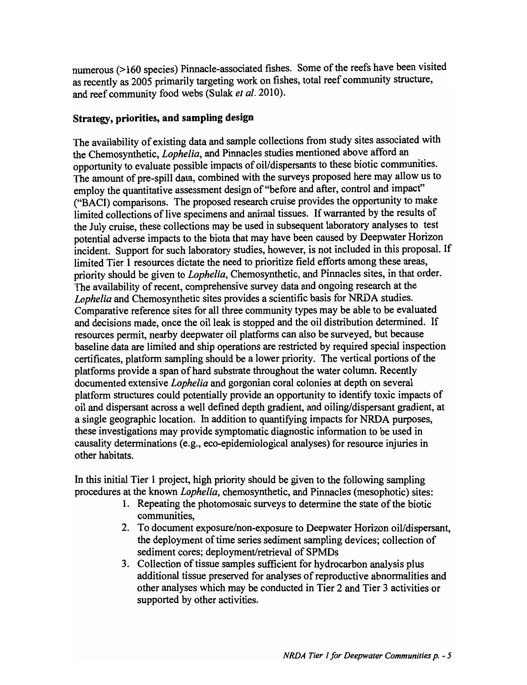numerous (> 160 species) Pinnacle-associated fishes. Some of the reefs have been visited as recently as 2005 primarily targeting work on fishes, total reef community structure, and reef community food webs (Sulak *et al.* 2010).

### Strategy, priorities, and sampling design

The availability of existing data and sample collections from study sites associated with the Chemosynthetic, *Lophelia,* and Pinnacles studies mentioned above afford an opportunity to evaluate possible impacts of oil/dispersants to these biotic communities. The amount of pre-spill data, combined with the surveys proposed here may allow us to employ the quantitative assessment design of "before and after, control and impact" ("BACI) comparisons. The proposed research cruise provides the opportunity to make limited collections of live specimens and animal tissues. If warranted by the results of the July cruise, these collections may be used in subsequent laboratory analyses to test potential adverse impacts to the biota that may have been caused by Deepwater Horizon incident. Support for such laboratory studies, however, is not included in this proposal. If limited Tier 1 resources dictate the need to prioritize field efforts among these areas, priority should be given to *Lophelia,* Chemosynthetic, and Pinnacles sites, in that order. The availability of recent, comprehensive survey data and ongoing research at the *Lophelia* and Chemosynthetic sites provides a scientific basis for NRDA studies. Comparative reference sites for all three community types may be able to be evaluated and decisions made, once the oil leak is stopped and the oil distribution determined. If resources permit, nearby deepwater oil platforms can also be surveyed, but because baseline data are limited and ship operations are restricted by required special inspection certificates, platform sampling should be a lower priority. The vertical portions of the platforms provide a span of hard substrate throughout the water column. Recently documented extensive *Lophelia* and gorgonian coral colonies at depth on several platform structures could potentially provide an opportunity to identify toxic impacts of oil and dispersant across a well defined depth gradient, and oiling/dispersant gradient, at a single geographic location. In addition to quantifying impacts for NRDA purposes, these investigations may provide symptomatic diagnostic information to be used in causality determinations (e.g., eco-epidemiological analyses) for resource injuries in other habitats.

In this initial Tier 1 project, high priority should be given to the following sampling procedures at the known *Lophelia,* chemosynthetic, and Pinnacles (mesophotic) sites:

- 1. Repeating the photomosaic surveys to determine the state of the biotic communities,
- 2. To document exposure/non-exposure to Deepwater Horizon oil/dispersant, the deployment of time series sediment sampling devices; collection of sediment cores; deployment/retrieval of SPMDs
- 3. Collection of tissue samples sufficient for hydrocarbon analysis plus additional tissue preserved for analyses of reproductive abnormalities and other analyses which may be conducted in Tier 2 and Tier 3 activities or supported by other activities.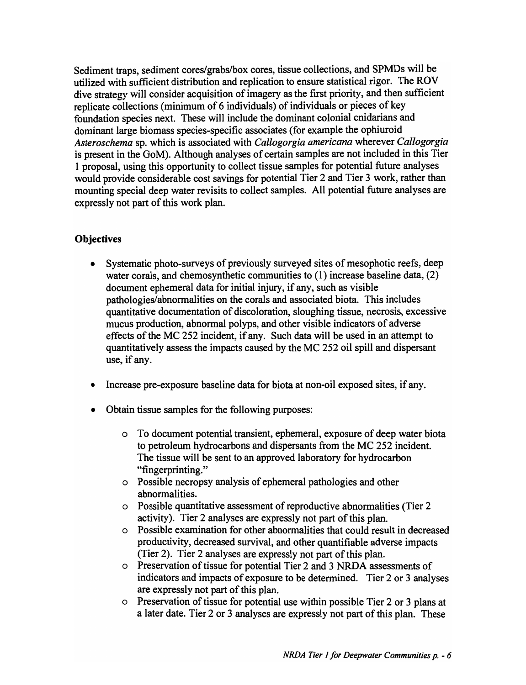Sediment traps, sediment cores/grabs/box cores, tissue collections, and SPMDs will be utilized with sufficient distribution and replication to ensure statistical rigor. The ROV dive strategy will consider acquisition of imagery as the first priority, and then sufficient replicate collections (minimum of 6 individuals) of individuals or pieces of key foundation species next. These will include the dominant colonial cnidarians and dominant large biomass species-specific associates (for example the ophiuroid *Asteroschema* sp. which is associated with *Callogorgia americana* wherever *Callogorgia*  is present in the GoM). Although analyses of certain samples are not included in this Tier 1 proposal, using this opportunity to collect tissue samples for potential future analyses would provide considerable cost savings for potential Tier 2 and Tier 3 work, rather than mounting special deep water revisits to collect samples. All potential future analyses are expressly not part of this work plan.

### **Objectives**

- Systematic photo-surveys of previously surveyed sites of mesophotic reefs, deep water corals, and chemosynthetic communities to (1) increase baseline data, (2) document ephemeral data for initial injury, if any, such as visible pathologies/abnormalities on the corals and associated biota. This includes quantitative documentation of discoloration, sloughing tissue, necrosis, excessive mucus production, abnormal polyps, and other visible indicators of adverse effects of the MC 252 incident, if any. Such data will be used in an attempt to quantitatively assess the impacts caused by the MC 252 oil spill and dispersant use, if any.
- Increase pre-exposure baseline data for biota at non-oil exposed sites, if any.
- Obtain tissue samples for the following purposes:
	- o To document potential transient, ephemeral, exposure of deep water biota to petroleum hydrocarbons and dispersants from the MC 252 incident. The tissue will be sent to an approved laboratory for hydrocarbon "fingerprinting. "
	- o Possible necropsy analysis of ephemeral pathologies and other abnormalities.
	- o Possible quantitative assessment of reproductive abnormalities (Tier 2 activity). Tier 2 analyses are expressly not part of this plan.
	- o Possible examination for other abnormalities that could result in decreased productivity, decreased survival, and other quantifiable adverse impacts (Tier 2). Tier 2 analyses are expressly not part of this plan.
	- o Preservation of tissue for potential Tier 2 and 3 NRDA assessments of indicators and impacts of exposure to be determined. Tier 2 or 3 analyses are expressly not part of this plan.
	- o Preservation of tissue for potential use within possible Tier 2 or 3 plans at a later date. Tier 2 or 3 analyses are expressly not part of this plan. These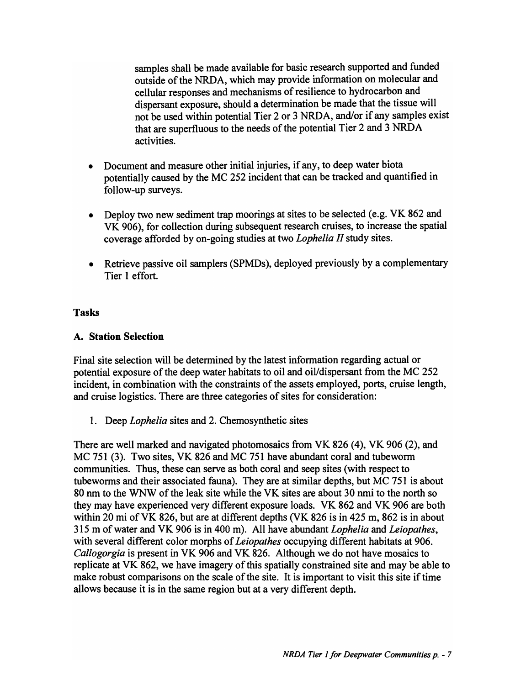samples shall be made available for basic research supported and funded outside of the NRDA, which may provide information on molecular and cellular responses and mechanisms of resilience to hydrocarbon and dispersant exposure, should a determination be made that the tissue will not be used within potential Tier 2 or 3 NRDA, and/or if any samples exist that are superfluous to the needs of the potential Tier 2 and 3 NRDA activities.

- Document and measure other initial injuries, if any, to deep water biota potentially caused by the MC 252 incident that can be tracked and quantified in follow-up surveys.
- Deploy two new sediment trap moorings at sites to be selected (e.g. VK 862 and VK 906), for collection during subsequent research cruises, to increase the spatial coverage afforded by on-going studies at two *Lophelia II* study sites.
- Retrieve passive oil samplers (SPMDs), deployed previously by a complementary Tier 1 effort.

### Tasks

# A. Station Selection

Final site selection will be determined by the latest information regarding actual or potential exposure of the deep water habitats to oil and oil/dispersant from the MC 252 incident, in combination with the constraints of the assets employed, ports, cruise length, and cruise logistics. There are three categories of sites for consideration:

1. Deep *Lophelia* sites and 2. Chemosynthetic sites

There are well marked and navigated photomosaics from VK 826 (4), VK 906 (2), and MC 751 (3). Two sites, VK 826 and MC 751 have abundant coral and tubeworm communities. Thus, these can serve as both coral and seep sites (with respect to tubeworms and their associated fauna). They are at similar depths, but MC 751 is about 80 nm to the WNW of the leak site while the VK sites are about 30 nmi to the north so they may have experienced very different exposure loads. VK 862 and VK 906 are both within 20 mi of VK 826, but are at different depths (VK 826 is in 425 m, 862 is in about 315 m of water and VK 906 is in 400 m). All have abundant *Lophelia* and *Leiopathes,*  with several different color morphs of *Leiopathes* occupying different habitats at 906. *Callogorgia* is present in VK 906 and VK 826. Although we do not have mosaics to replicate at VK 862, we have imagery of this spatially constrained site and may be able to make robust comparisons on the scale of the site. It is important to visit this site if time allows because it is in the same region but at a very different depth.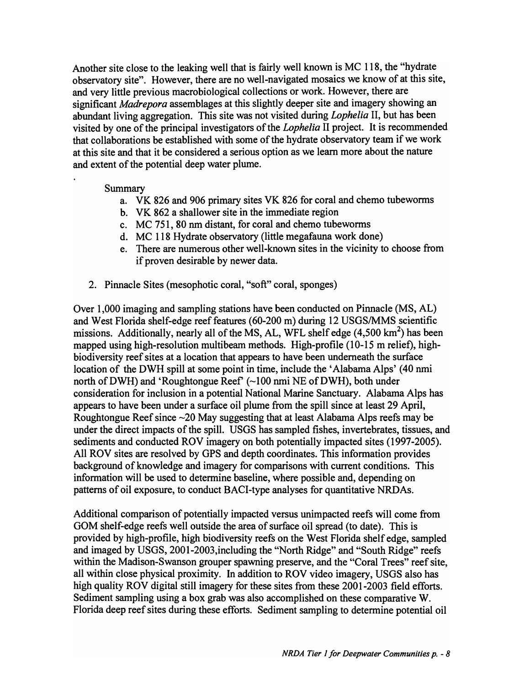Another site close to the leaking well that is fairly well known is MC 118, the "hydrate observatory site". However, there are no well-navigated mosaics we know of at this site, and very little previous macrobiological collections or work. However, there are significant *Madrepora* assemblages at this slightly deeper site and imagery showing an abundant living aggregation. This site was not visited during *Lophelia* II, but has been visited by one of the principal investigators of the *Lophelia* II project. It is recommended that collaborations be established with some of the hydrate observatory team if we work at this site and that it be considered a serious option as we learn more about the nature and extent of the potential deep water plume.

#### Summary

- a. VK 826 and 906 primary sites VK 826 for coral and chemo tubeworms
- b. VK 862 a shallower site in the immediate region
- c. MC 751, 80 nm distant, for coral and chemo tubeworms
- d. MC 118 Hydrate observatory (little megafauna work done)
- e. There are numerous other well-known sites in the vicinity to choose from if proven desirable by newer data.
- 2. Pinnacle Sites (mesophotic coral, "soft" coral, sponges)

Over 1,000 imaging and sampling stations have been conducted on Pinnacle (MS, AL) and West Florida shelf-edge reef features (60-200 m) during 12 USGS/MMS scientific missions. Additionally, nearly all of the MS, AL, WFL shelf edge  $(4,500 \text{ km}^2)$  has been mapped using high-resolution multibeam methods. High-profile (10-15 m relief), highbiodiversity reef sites at a location that appears to have been underneath the surface location of the DWH spill at some point in time, include the 'Alabama Alps' (40 nmi north of DWH) and 'Roughtongue Reef'  $(\sim 100 \text{ nmi} \text{ NE of DWH})$ , both under consideration for inclusion in a potential National Marine Sanctuary. Alabama Alps has appears to have been under a surface oil plume from the spill since at least 29 April, Roughtongue Reef since  $\sim$  20 May suggesting that at least Alabama Alps reefs may be under the direct impacts of the spill. USGS has sampled fishes, invertebrates, tissues, and sediments and conducted ROV imagery on both potentially impacted sites (1997-2005). All ROV sites are resolved by GPS and depth coordinates. This information provides background of knowledge and imagery for comparisons with current conditions. This information will be used to determine baseline, where possible and, depending on patterns of oil exposure, to conduct BACI-type analyses for quantitative NRDAs.

Additional comparison of potentially impacted versus unimpacted reefs will come from GOM shelf-edge reefs well outside the area of surface oil spread (to date). This is provided by high-profile, high biodiversity reefs on the West Florida shelf edge, sampled and imaged by USGS, 2001-2003, including the "North Ridge" and "South Ridge" reefs within the Madison-Swanson grouper spawning preserve, and the "Coral Trees" reef site, all within close physical proximity. In addition to ROV video imagery, USGS also has high quality ROV digital still imagery for these sites from these 2001-2003 field efforts. Sediment sampling using a box grab was also accomplished on these comparative W. Florida deep reef sites during these efforts. Sediment sampling to determine potential oil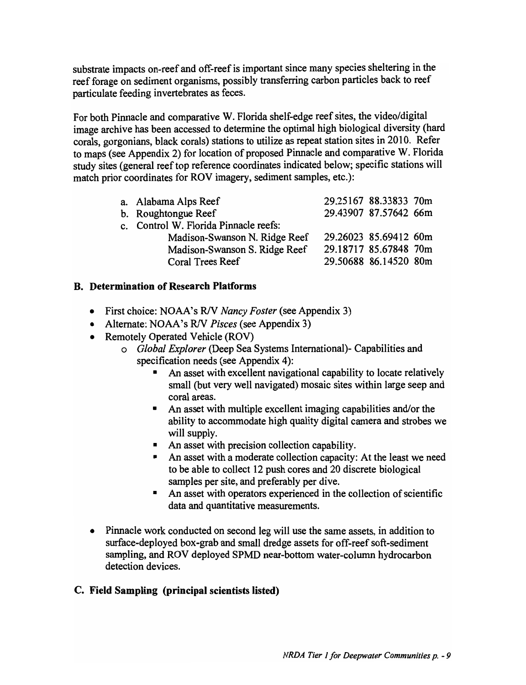substrate impacts on-reef and off-reef is important since many species sheltering in the reef forage on sediment organisms, possibly transferring carbon particles back to reef particulate feeding invertebrates as feces.

For both Pinnacle and comparative W. Florida shelf-edge reef sites, the video/digital image archive has been accessed to determine the optimal high biological diversity (hard corals, gorgonians, black corals) stations to utilize as repeat station sites in 2010. Refer to maps (see Appendix 2) for location of proposed Pinnacle and comparative W. Florida study sites (general reef top reference coordinates indicated below; specific stations will match prior coordinates for ROV imagery, sediment samples, etc.):

| a. Alabama Alps Reef                  | 29.25167 88.33833 70m |  |
|---------------------------------------|-----------------------|--|
| b. Roughtongue Reef                   | 29.43907 87.57642 66m |  |
| c. Control W. Florida Pinnacle reefs: |                       |  |
| Madison-Swanson N. Ridge Reef         | 29.26023 85.69412 60m |  |
| Madison-Swanson S. Ridge Reef         | 29.18717 85.67848 70m |  |
| Coral Trees Reef                      | 29.50688 86.14520 80m |  |

# B. Determination of Research Platforms

- First choice: NOAA's RIV *Nancy Foster* (see Appendix 3)
- Alternate: NOAA's R/V *Pisces* (see Appendix 3)
- Remotely Operated Vehicle (ROV)
	- o *Global Explorer* (Deep Sea Systems International)- Capabilities and specification needs (see Appendix 4):
		- An asset with excellent navigational capability to locate relatively small (but very well navigated) mosaic sites within large seep and coral areas.
		- An asset with multiple excellent imaging capabilities and/or the ability to accommodate high quality digital camera and strobes we will supply.
		- An asset with precision collection capability.
		- An asset with a moderate collection capacity: At the least we need to be able to collect 12 push cores and 20 discrete biological samples per site, and preferably per dive.
		- An asset with operators experienced in the collection of scientific data and quantitative measurements.
- Pinnacle work conducted on second leg will use the same assets, in addition to surface-deployed box-grab and small dredge assets for off-reef soft-sediment sampling, and ROV deployed SPMD near-bottom water-column hydrocarbon detection devices.

# c. Field Sampling (principal scientists listed)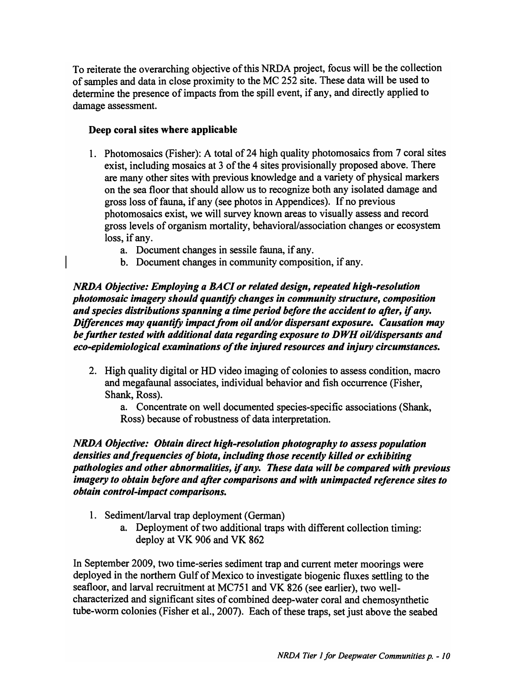To reiterate the overarching objective of this NRDA project, focus will be the collection of samples and data in close proximity to the MC 252 site. These data will be used to determine the presence of impacts from the spill event, if any, and directly applied to damage assessment.

# Deep coral sites where applicable

- 1. Photomosaics (Fisher): A total of 24 high quality photomosaics from 7 coral sites exist, including mosaics at 3 of the 4 sites provisionally proposed above. There are many other sites with previous knowledge and a variety of physical markers on the sea floor that should allow us to recognize both any isolated damage and gross loss of fauna, if any (see photos in Appendices). If no previous photomosaics exist, we will survey known areas to visually assess and record gross levels of organism mortality, behavioral/association changes or ecosystem loss, if any.
	- a. Document changes in sessile fauna, if any.
	- b. Document changes in community composition, if any.

*NRDA Objective: Employing a BACI or related design, repeated high-resolution photomosaic imagery should quantify changes in community structure, composition and species distributions spanning a time period before the accident to after, if any. Differences may quantify impact from oil and/or dispersant exposure. Causation may be further tested with additional data regarding exposure to D WH oil/dispersants and eco-epidemiological examinations of the injured resources and injury circumstances.* 

- 2. High quality digital or HD video imaging of colonies to assess condition, macro and megafaunal associates, individual behavior and fish occurrence (Fisher, Shank, Ross).
	- a. Concentrate on well documented species-specific associations (Shank, Ross) because of robustness of data interpretation.

*NRDA Objective: Obtain direct high-resolution photography to assess population densities and frequencies of biota, including those recently killed or exhibiting pathologies and other abnormalities, if any. These data will be compared with previous imagery to obtain before and after comparisons and with unimpacted reference sites to obtain control-impact comparisons.* 

- 1. Sediment/larval trap deployment (German)
	- a. Deployment of two additional traps with different collection timing: deploy at VK 906 and VK 862

In September 2009, two time-series sediment trap and current meter moorings were deployed in the northern Gulf of Mexico to investigate biogenic fluxes settling to the seafloor, and larval recruitment at MC751 and VK 826 (see earlier), two wellcharacterized and significant sites of combined deep-water coral and chemosynthetic tube-worm colonies (Fisher et al., 2007). Each of these traps, set just above the seabed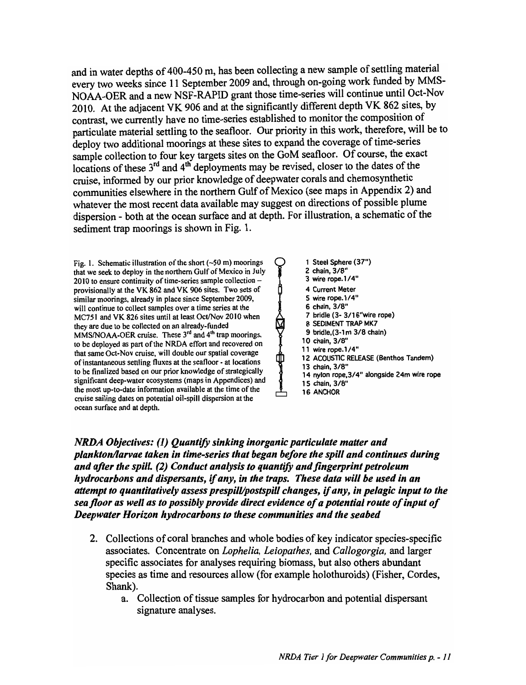and in water depths of 400-450 m, has been collecting a new sample of settling material every two weeks since 11 September 2009 and, through on-going work funded by MMS-NOAA-OER and a new NSF-RAPID grant those time-series will continue until Oct-Nov 2010. At the adjacent VK 906 and at the significantly different depth VK 862 sites, by contrast, we currently have no time-series established to monitor the composition of particulate material settling to the seafloor. Our priority in this work, therefore, will be to deploy two additional moorings at these sites to expand the coverage of time-series sample collection to four key targets sites on the GoM seafloor. Of course, the exact  $\frac{1}{2}$  locations of these  $3<sup>rd</sup>$  and  $4<sup>th</sup>$  deployments may be revised, closer to the dates of the cruise, informed by our prior knowledge of deepwater corals and chemosynthetic communities elsewhere in the northern Gulf of Mexico (see maps in Appendix 2) and whatever the most recent data available may suggest on directions of possible plume dispersion - both at the ocean surface and at depth. For illustration, a schematic of the sediment trap moorings is shown in Fig. 1.

Fig. 1. Schematic illustration of the short  $(-50 \text{ m})$  moorings that we seek to deploy in the northern Gulf of Mexico in July 2010 to ensure continuity of time-series sample collectionprovisionally at the VK 862 and VK 906 sites. Two sets of similar moorings, already in place since September 2009, will continue to collect samples over a time series at the MC751 and VK 826 sites until at least Oct/Nov 2010 when they are due to be collected on an already-funded MMS/NOAA-OER cruise. These 3<sup>rd</sup> and 4<sup>th</sup> trap moorings, to be deployed as part of the NRDA effort and recovered on that same Oct-Nov cruise, will double our spatial coverage of instantaneous settling fluxes at the seafloor - at locations to be finalized based on our prior knowledge of strategically significant deep-water ecosystems (maps in Appendices) and the most up-to-date information available at the time of the cruise sailing dates on potential oil-spill dispersion at the ocean surface and at depth.

1 Steel Sphere (37") 2 chain, *3/8"*  3 wire rope. 1 *14"*  4 Current Meter 5 wire rope. 1 *14"*  6 chain, *3/8"*  7 bridle (3- 3/16"wire rope) 8 SEDIMENT TRAP MK7 9 bridle.(3-1 m *3/8* chain) 10 chain, *3/8"*  11 wire rope. 1 *14"*  12 ACOUSTIC RELEASE (Benthos Tandem) 13 chain, *3/8"*  14 nylon rope.3/4" alongside 24m wire rope 1 5 chain, *3/8"*  16 ANCHOR

*NRDA Objectives:* (1) *Quantify sinking inorganic particulate matter and plankton/larvae taken in time-series that began before the spill and continues during and after the spill.* (2) *Conduct analysis to quantify and fingerprint petroleum hydrocarbons and dispersants,* if *any, in the traps. These data will be used in an attempt to quantitatively assess prespilVpostspil1 changes,* if *any, in pelagic input to the sea floor as well as to possibly provide direct evidence of a potential route of input of Deepwater Horizon hydrocarbons to these communities and the seabed* 

- 2. Collections of coral branches and whole bodies of key indicator species-specific associates. Concentrate on *Lophelia, Leiopathes,* and *Cal/ogorgia,* and larger specific associates for analyses requiring biomass, but also others abundant species as time and resources allow (for example holothuroids) (Fisher, Cordes, Shank).
	- a. Collection of tissue samples for hydrocarbon and potential dispersant signature analyses.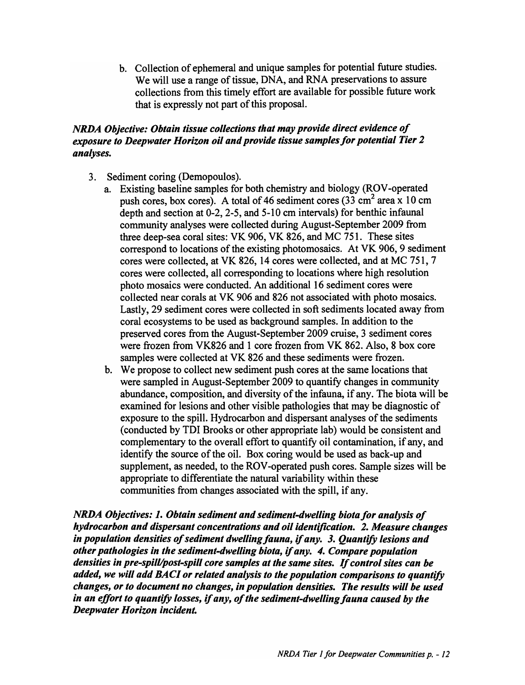b. Collection of ephemeral and unique samples for potential future studies. We will use a range of tissue, DNA, and RNA preservations to assure collections from this timely effort are available for possible future work that is expressly not part of this proposal.

# *NRDA Objective: Obtain tissue collections that may provide direct evidence of exposure to Deepwater Horizon oil and provide tissue samples for potential Tier 2 analyses.*

- 3. Sediment coring (Demopoulos).
	- a. Existing baseline samples for both chemistry and biology (ROV -operated push cores, box cores). A total of 46 sediment cores  $(33 \text{ cm}^2 \text{ area x } 10 \text{ cm})$ depth and section at 0-2, 2-5, and 5-10 cm intervals) for benthic infaunal community analyses were collected during August-September 2009 from three deep-sea coral sites: VK 906, VK 826, and MC 751. These sites correspond to locations of the existing photomosaics. At VK 906, 9 sediment cores were collected, at VK 826, 14 cores were collected, and at MC 751, 7 cores were collected, all corresponding to locations where high resolution photo mosaics were conducted. An additional 16 sediment cores were collected near corals at VK 906 and 826 not associated with photo mosaics. Lastly, 29 sediment cores were collected in soft sediments located away from coral ecosystems to be used as background samples. In addition to the preserved cores from the August-September 2009 cruise, 3 sediment cores were frozen from VK826 and 1 core frozen from VK 862. Also, 8 box core samples were collected at VK 826 and these sediments were frozen.
	- b. We propose to collect new sediment push cores at the same locations that were sampled in August-September 2009 to quantify changes in community abundance, composition, and diversity of the infauna, if any. The biota will be examined for lesions and other visible pathologies that may be diagnostic of exposure to the spill. Hydrocarbon and dispersant analyses of the sediments (conducted by TDI Brooks or other appropriate lab) would be consistent and complementary to the overall effort to quantify oil contamination, if any, and identify the source of the oil. Box coring would be used as back-up and supplement, as needed, to the ROV -operated push cores. Sample sizes will be appropriate to differentiate the natural variability within these communities from changes associated with the spill, if any.

*NRDA Objectives:* 1. *Obtain sediment and sediment-dwelling biota for analysis of hydrocarbon and dispersant concentrations and oil identification.* 2. *Measure changes in population densities of sediment dwelling fauna, if any.* 3. *Quantify lesions and other pathologies in the sediment-dwelling biota, if any.* 4. *Compare population densities in pre-spill/post-spill core samples at the same sites.* If *control sites can be added, we will add BACI or related analysis to the population comparisons to quantify changes, or to document no changes, in popUlation densities. The results will be used*  in an effort to quantify losses, if any, of the sediment-dwelling fauna caused by the *Deepwater Horizon incident.*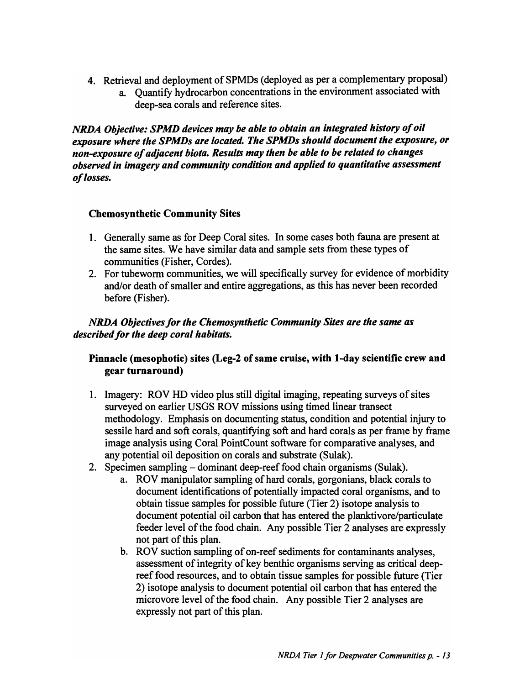- 4. Retrieval and deployment of SPMDs (deployed as per a complementary proposal)
	- a. Quantify hydrocarbon concentrations in the environment associated with deep-sea corals and reference sites.

*NRDA Objective: SPMD devices may be able to obtain an integrated history of oil exposure where the SPMDs are located. The SPMDs should document the exposure, or non-exposure of adjacent biota. Results may then be able to be related to changes observed in imagery and community condition and applied to quantitative assessment of losses.* 

# Chemosynthetic Community Sites

- 1. Generally same as for Deep Coral sites. In some cases both fauna are present at the same sites. We have similar data and sample sets from these types of communities (Fisher, Cordes).
- 2. For tubeworm communities, we will specifically survey for evidence of morbidity and/or death of smaller and entire aggregations, as this has never been recorded before (Fisher).

### *NRDA Objectives for the Chemosynthetic Community Sites are the same as described for the deep coral habitats.*

# Pinnacle (mesophotic) sites (Leg-2 of same cruise, with I-day scientific crew and gear turnaround)

- 1. Imagery: ROV HD video plus still digital imaging, repeating surveys of sites surveyed on earlier USGS ROV missions using timed linear transect methodology. Emphasis on documenting status, condition and potential injury to sessile hard and soft corals, quantifying soft and hard corals as per frame by frame image analysis using Coral PointCount software for comparative analyses, and any potential oil deposition on corals and substrate (Sulak).
- 2. Specimen sampling dominant deep-reef food chain organisms (Sulak).
	- a. ROV manipulator sampling of hard corals, gorgonians, black corals to document identifications of potentially impacted coral organisms, and to obtain tissue samples for possible future (Tier 2) isotope analysis to document potential oil carbon that has entered the planktivore/particulate feeder level of the food chain. Any possible Tier 2 analyses are expressly not part of this plan.
	- b. ROV suction sampling of on-reef sediments for contaminants analyses, assessment of integrity of key benthic organisms serving as critical deepreef food resources, and to obtain tissue samples for possible future (Tier 2) isotope analysis to document potential oil carbon that has entered the microvore level of the food chain. Any possible Tier 2 analyses are expressly not part of this plan.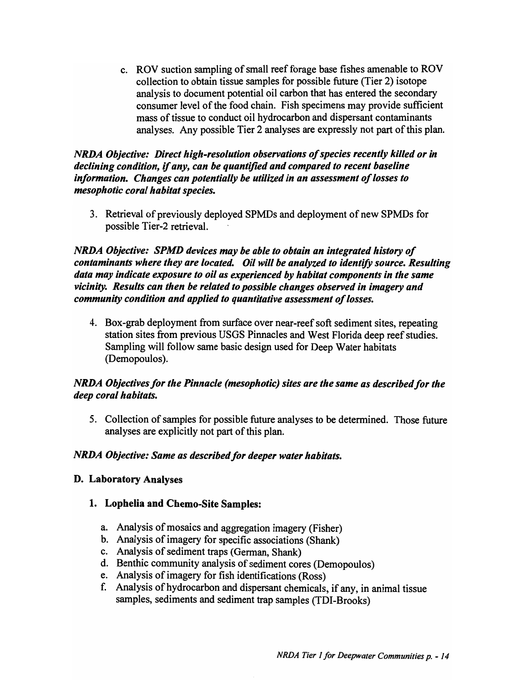c. ROV suction sampling of small reef forage base fishes amenable to ROV collection to obtain tissue samples for possible future (Tier 2) isotope analysis to document potential oil carbon that has entered the secondary consumer level of the food chain. Fish specimens may provide sufficient mass of tissue to conduct oil hydrocarbon and dispersant contaminants analyses. Any possible Tier 2 analyses are expressly not part of this plan.

### *NRDA Objective: Direct high-resolution observations of species recently killed or in declining condition, if any, can be quantified and compared to recent baseline information. Changes can potentially be utilized in an assessment of losses to mesophotic coral habitat species.*

3. Retrieval of previously deployed SPMDs and deployment of new SPMDs for possible Tier-2 retrieval.

*NRDA Objective: SPMD devices may be able to obtain an integrated history of contaminants where they are located. Oil will be analyzed to identify source. Resulting data may indicate exposure to oil as experienced by habitat components in the same vicinity. Results can then be related to possible changes observed in imagery and community condition and applied to quantitative assessment of losses.* 

4. Box-grab deployment from surface over near-reef soft sediment sites, repeating station sites from previous USGS Pinnacles and West Florida deep reef studies. Sampling will follow same basic design used for Deep Water habitats (Demopoulos).

# *NRDA Objectives for the Pinnacle (mesophotic) sites are the same as described for the deep coral habitats.*

5. Collection of samples for possible future analyses to be determined. Those future analyses are explicitly not part of this plan.

# *NRDA Objective: Same as described for deeper water habitats.*

### D. Laboratory Analyses

- 1. Lophelia and Chemo-Site Samples:
	- a. Analysis of mosaics and aggregation imagery (Fisher)
	- b. Analysis of imagery for specific associations (Shank)
	- c. Analysis of sediment traps (German, Shank)
	- d. Benthic community analysis of sediment cores (Demopoulos)
	- e. Analysis of imagery for fish identifications (Ross)
	- f. Analysis of hydrocarbon and dispersant chemicals, if any, in animal tissue samples, sediments and sediment trap samples (TDI-Brooks)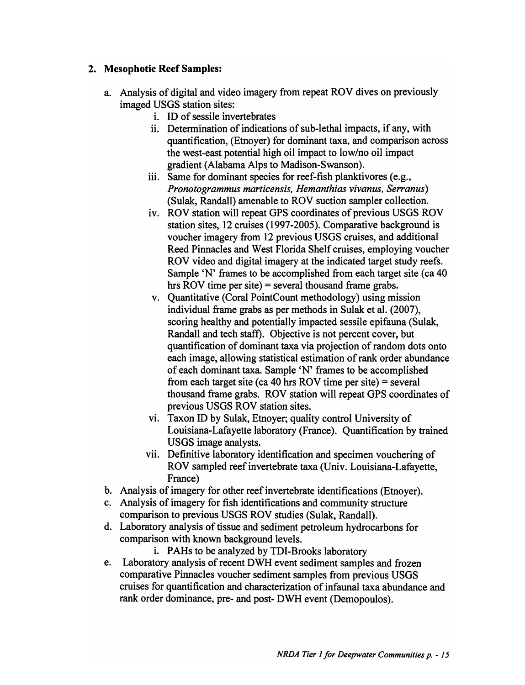# 2. Mesophotic Reef Samples:

- a. Analysis of digital and video imagery from repeat ROV dives on previously imaged USGS station sites:
	- 1. ID of sessile invertebrates
	- ii. Determination of indications of sub-lethal impacts, if any, with quantification, (Etnoyer) for dominant taxa, and comparison across the west-east potential high oil impact to low/no oil impact gradient (Alabama Alps to Madison-Swanson).
	- iii. Same for dominant species for reef-fish planktivores (e.g., *Pronotogrammus marticensis, Hemanthias vivanus, Serranus)*  (Sulak, Randall) amenable to ROV suction sampler collection.
	- iv. ROV station will repeat GPS coordinates of previous USGS ROV station sites, 12 cruises (1997-2005). Comparative background is voucher imagery from 12 previous USGS cruises, and additional Reed Pinnacles and West Florida Shelf cruises, employing voucher ROV video and digital imagery at the indicated target study reefs. Sample 'N' frames to be accomplished from each target site (ca 40 hrs ROV time per site) = several thousand frame grabs.
	- v. Quantitative (Coral PointCount methodology) using mission individual frame grabs as per methods in Sulak et al. (2007), scoring healthy and potentially impacted sessile epifauna (Sulak, Randall and tech staff). Objective is not percent cover, but quantification of dominant taxa via projection of random dots onto each image, allowing statistical estimation of rank order abundance of each dominant taxa. Sample 'N' frames to be accomplished from each target site (ca 40 hrs ROV time per site) = several thousand frame grabs. ROV station will repeat GPS coordinates of previous USGS ROV station sites.
	- vi. Taxon ID by Sulak, Etnoyer; quality control University of Louisiana-Lafayette laboratory (France). Quantification by trained USGS image analysts.
	- vii. Definitive laboratory identification and specimen vouchering of ROV sampled reef invertebrate taxa (Univ. Louisiana-Lafayette, France)
- b. Analysis of imagery for other reef invertebrate identifications (Etnoyer).
- c. Analysis of imagery for fish identifications and community structure comparison to previous USGS ROV studies (Sulak, Randall).
- d. Laboratory analysis of tissue and sediment petroleum hydrocarbons for comparison with known background levels.
	- i. PAHs to be analyzed by TDI-Brooks laboratory
- e. Laboratory analysis of recent DWH event sediment samples and frozen comparative Pinnacles voucher sediment samples from previous USGS cruises for quantification and characterization of infaunal taxa abundance and rank order dominance, pre- and post- DWH event (Demopoulos).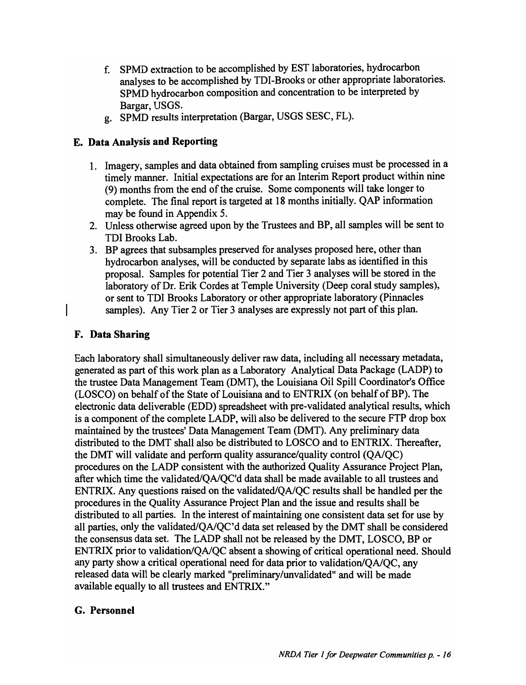- f. SPMD extraction to be accomplished by EST laboratories, hydrocarbon analyses to be accomplished by TDI-Brooks or other appropriate laboratories. SPMD hydrocarbon composition and concentration to be interpreted by Bargar, USGS.
- g. SPMD results interpretation (Bargar, USGS SESC, FL).

# E. Data Analysis and Reporting

- 1. Imagery, samples and data obtained from sampling cruises must be processed in a timely manner. Initial expectations are for an Interim Report product within nine (9) months from the end of the cruise. Some components will take longer to complete. The final report is targeted at 18 months initially. QAP information may be found in Appendix 5.
- 2. Unless otherwise agreed upon by the Trustees and BP, all samples will be sent to TDI Brooks Lab.
- 3. BP agrees that subsamples preserved for analyses proposed here, other than hydrocarbon analyses, will be conducted by separate labs as identified in this proposal. Samples for potential Tier 2 and Tier 3 analyses will be stored in the laboratory of Dr. Erik Cordes at Temple University (Deep coral study samples), or sent to TDI Brooks Laboratory or other appropriate laboratory (Pinnacles samples). Any Tier 2 or Tier 3 analyses are expressly not part of this plan.

### F. Data Sharing

Each laboratory shall simultaneously deliver raw data, including all necessary metadata, generated as part of this work plan as a Laboratory Analytical Data Package (LADP) to the trustee Data Management Team (DMT), the Louisiana Oil Spill Coordinator's Office (LOSCO) on behalf of the State of Louisiana and to ENTRIX (on behalf of BP). The electronic data deliverable (EDD) spreadsheet with pre-validated analytical results, which is a component of the complete LADP, will also be delivered to the secure FTP drop box maintained by the trustees' Data Management Team (DMT). Any preliminary data distributed to the DMT shall also be distributed to LOSCO and to ENTRIX. Thereafter, the DMT will validate and perform quality assurance/quality control *(QAlQC)*  procedures on the LADP consistent with the authorized Quality Assurance Project Plan, after which time the validated/QA/QC'd data shall be made available to all trustees and ENTRIX. Any questions raised on the validated/QA/QC results shall be handled per the procedures in the Quality Assurance Project Plan and the issue and results shall be distributed to all parties. In the interest of maintaining one consistent data set for use by all parties, only the validated/QA/QC'd data set released by the DMT shall be considered the consensus data set. The LADP shall not be released by the DMT, LOSCO, BP or ENTRIX prior to validation/QA/QC absent a showing of critical operational need. Should any party show a critical operational need for data prior to validation/ $QA/QC$ , any released data will be clearly marked "preliminary/unvalidated" and will be made available equally to all trustees and ENTRIX."

### G. Personnel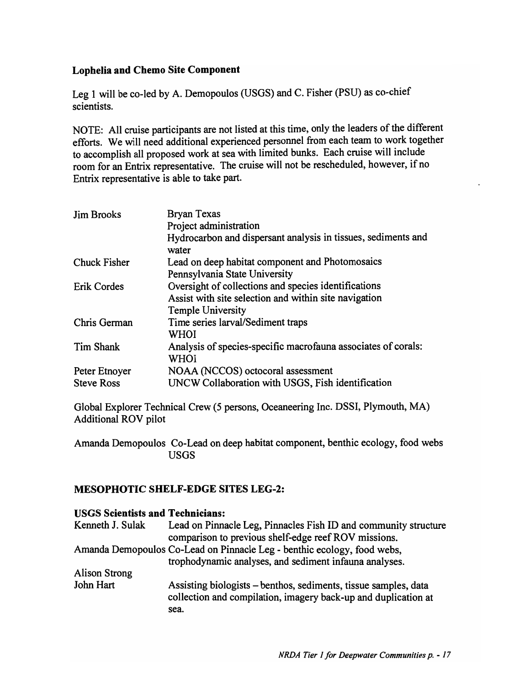### Lophelia and Chemo Site Component

Leg 1 will be co-led by A. Demopoulos (USGS) and C. Fisher (PSU) as co-chief scientists.

NOTE: All cruise participants are not listed at this time, only the leaders of the different efforts. We will need additional experienced personnel from each team to work together to accomplish all proposed work at sea with limited bunks. Each cruise will include room for an Entrix representative. The cruise will not be rescheduled, however, if no Entrix representative is able to take part.

| <b>Jim Brooks</b>   | <b>Bryan Texas</b>                                                     |
|---------------------|------------------------------------------------------------------------|
|                     | Project administration                                                 |
|                     | Hydrocarbon and dispersant analysis in tissues, sediments and<br>water |
| <b>Chuck Fisher</b> | Lead on deep habitat component and Photomosaics                        |
|                     | Pennsylvania State University                                          |
| Erik Cordes         | Oversight of collections and species identifications                   |
|                     | Assist with site selection and within site navigation                  |
|                     | <b>Temple University</b>                                               |
| Chris German        | Time series larval/Sediment traps                                      |
|                     | WHOI                                                                   |
| Tim Shank           | Analysis of species-specific macrofauna associates of corals:          |
|                     | WHOI                                                                   |
| Peter Etnoyer       | NOAA (NCCOS) octocoral assessment                                      |
| <b>Steve Ross</b>   | UNCW Collaboration with USGS, Fish identification                      |

Global Explorer Technical Crew (5 persons, Oceaneering Inc. DSSI, Plymouth, MA) Additional ROV pilot

Amanda Demopoulos Co-Lead on deep habitat component, benthic ecology, food webs USGS

### MESOPHOTIC SHELF-EDGE SITES LEG-2:

### USGS Scientists and Technicians:

| Lead on Pinnacle Leg, Pinnacles Fish ID and community structure                                                                           |
|-------------------------------------------------------------------------------------------------------------------------------------------|
| comparison to previous shelf-edge reef ROV missions.                                                                                      |
| Amanda Demopoulos Co-Lead on Pinnacle Leg - benthic ecology, food webs,                                                                   |
| trophodynamic analyses, and sediment infauna analyses.                                                                                    |
|                                                                                                                                           |
| Assisting biologists – benthos, sediments, tissue samples, data<br>collection and compilation, imagery back-up and duplication at<br>sea. |
|                                                                                                                                           |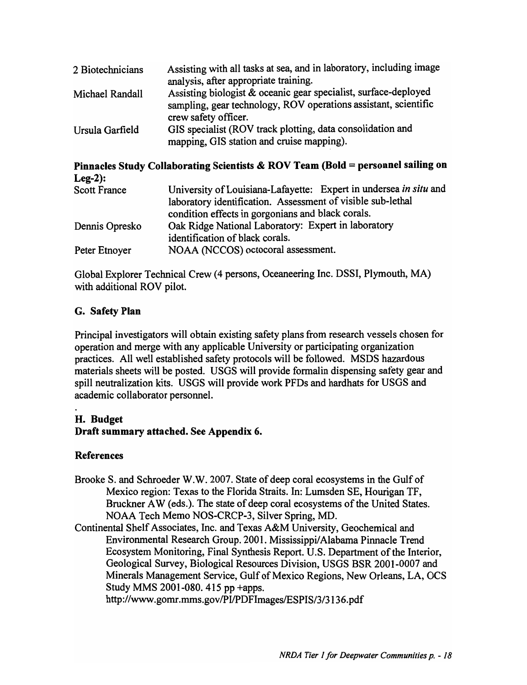| 2 Biotechnicians | Assisting with all tasks at sea, and in laboratory, including image<br>analysis, after appropriate training. |
|------------------|--------------------------------------------------------------------------------------------------------------|
|                  | Assisting biologist & oceanic gear specialist, surface-deployed                                              |
| Michael Randall  | sampling, gear technology, ROV operations assistant, scientific<br>crew safety officer.                      |
| Ursula Garfield  | GIS specialist (ROV track plotting, data consolidation and<br>mapping, GIS station and cruise mapping).      |

Pinnacles Study Collaborating Scientists & ROV Team (Bold = personnel sailing on  $Leg-2$ ):

| <b>Scott France</b> | University of Louisiana-Lafayette: Expert in undersea in situ and |
|---------------------|-------------------------------------------------------------------|
|                     | laboratory identification. Assessment of visible sub-lethal       |
|                     | condition effects in gorgonians and black corals.                 |
| Dennis Opresko      | Oak Ridge National Laboratory: Expert in laboratory               |
|                     | identification of black corals.                                   |
| Peter Etnoyer       | NOAA (NCCOS) octocoral assessment.                                |

Global Explorer Technical Crew (4 persons, Oceaneering Inc. DSSI, Plymouth, MA) with additional ROV pilot.

# G. Safety Plan

Principal investigators will obtain existing safety plans from research vessels chosen for operation and merge with any applicable University or participating organization practices. All well established safety protocols will be followed. MSDS hazardous materials sheets will be posted. USGS will provide formalin dispensing safety gear and spill neutralization kits. USGS will provide work PFDs and hardhats for USGS and academic collaborator personnel.

# H. Budget

# Draft summary attached. See Appendix 6.

# References

- Brooke S. and Schroeder W. W. 2007. State of deep coral ecosystems in the Gulf of Mexico region: Texas to the Florida Straits. In: Lumsden SE, Hourigan TF, Bruckner A W (eds.). The state of deep coral ecosystems of the United States. NOAA Tech Memo NOS-CRCP-3, Silver Spring, MD.
- Continental Shelf Associates, Inc. and Texas A&M University, Geochemical and Environmental Research Group. 2001. Mississippi! Alabama Pinnacle Trend Ecosystem Monitoring, Final Synthesis Report. U.S. Department of the Interior, Geological Survey, Biological Resources Division, USGS BSR 2001-0007 and Minerals Management Service, Gulf of Mexico Regions, New Orleans, LA, OCS Study MMS 2001-080. 415 pp +apps.

http://www.gomr.mms.gov/PI/PDFImages/ESPIS/3/3136.pdf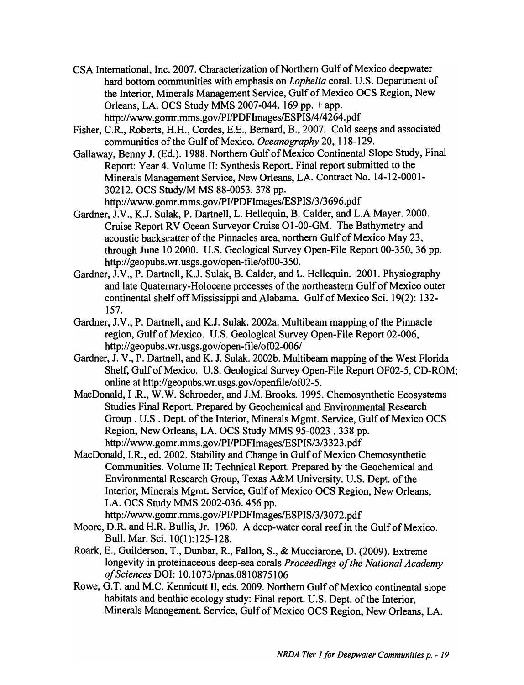- CSA International, Inc. 2007. Characterization of Northern Gulf of Mexico deepwater hard bottom communities with emphasis on *Lophelia* coral. U.S. Department of the Interior, Minerals Management Service, Gulf of Mexico OCS Region, New Orleans, LA. OCS Study MMS 2007-044.169 pp. + app. http://www.gomr.mms.gov/PI/PDFImages/ESPIS/4/4264.pdf
- Fisher, C.R., Roberts, H.H., Cordes, E.E., Bernard, B., 2007. Cold seeps and associated communities of the Gulf of Mexico. *Oceanography* 20, 118-129.
- Gallaway, Benny J. (Ed.). 1988. Northern Gulf of Mexico Continental Slope Study, Final Report: Year 4. Volume II: Synthesis Report. Final report submitted to the Minerals Management Service, New Orleans, LA. Contract No. 14-12-0001- 30212. OCS StudylM MS 88-0053. 378 pp. http://www.gomr.mms.gov/PI/PDFImages/ESPIS/3/3696.pdf
- Gardner, J.V., KJ. Sulak, P. Dartnell, L. Hellequin, B. Calder, and L.A Mayer. 2000. Cruise Report RV Ocean Surveyor Cruise 01-00-GM. The Bathymetry and acoustic backscatter of the Pinnacles area, northern Gulf of Mexico May 23, through June 10 2000. U.S. Geological Survey Open-File Report 00-350, 36 pp. http://geopubs.wr.usgs.gov/open-file/ofOO-350.
- Gardner, J.V., P. Dartnell, KJ. Sulak, B. Calder, and L. Hellequin. 2001. Physiography and late Quaternary-Holocene processes of the northeastern Gulf of Mexico outer continental shelf off Mississippi and Alabama. Gulf of Mexico Sci. 19(2): 132- 157.
- Gardner, J.V., P. Dartnell, and K.J. Sulak. 2002a. Multibeam mapping of the Pinnacle region, Gulf of Mexico. U.S. Geological Survey Open-File Report 02-006, http://geopubs.wr.usgs.gov/open-file/of02-006/
- Gardner, J. V., P. Dartnell, and K. J. Sulak. 2002b. Multibeam mapping of the West Florida Shelf, Gulf of Mexico. U.S. Geological Survey Open-File Report OF02-5, CD-ROM; online at http://geopubs.wr.usgs.gov/openfile/of02-5.
- MacDonald, I .R., W.W. Schroeder, and J.M. Brooks. 1995. Chemosynthetic Ecosystems Studies Final Report. Prepared by Geochemical and Environmental Research Group. U.S. Dept. of the Interior, Minerals Mgmt. Service, Gulf of Mexico OCS Region, New Orleans, LA. OCS Study MMS 95-0023 . 338 pp. http://www.gomr.mms.gov/PI/PDFImages/ESPIS/3/3323.pdf
- MacDonald, I.R., ed. 2002. Stability and Change in Gulf of Mexico Chemosynthetic Communities. Volume II: Technical Report. Prepared by the Geochemical and Environmental Research Group, Texas A&M University. U.S. Dept. of the Interior, Minerals Mgmt. Service, Gulf of Mexico OCS Region, New Orleans, LA. OCS Study MMS 2002-036. 456 pp.
	- http://www.gomr.mms.gov/PI/PDFImages/ESPIS/3/3072.pdf
- Moore, D.R. and H.R. Bullis, Jr. 1960. A deep-water coral reef in the Gulf of Mexico. Bull. Mar. Sci. 10(1):125-128.
- Roark, E., Guilderson, T., Dunbar, R., Fallon, S., & Mucciarone, D. (2009). Extreme longevity in proteinaceous deep-sea corals *Proceedings of the National Academy of Sciences* DOl: 10.1073/pnas.0810875106
- Rowe, G.T. and M.C. Kennicutt II, eds. 2009. Northern Gulf of Mexico continental slope habitats and benthic ecology study: Final report. U.S. Dept. of the Interior, Minerals Management. Service, Gulf of Mexico OCS Region, New Orleans, LA.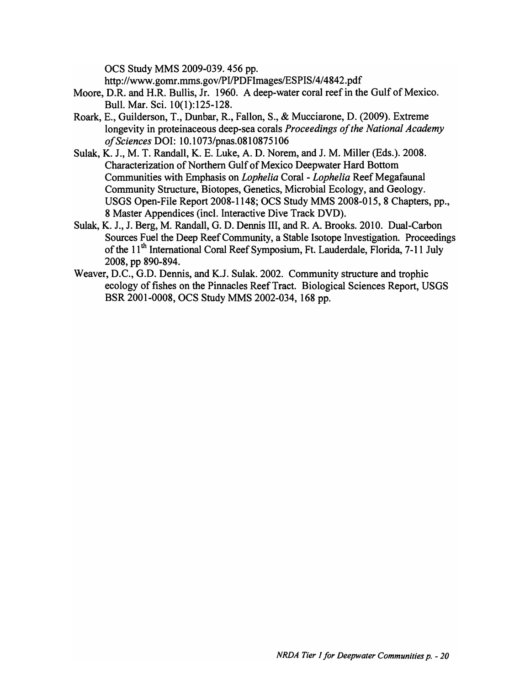OCS Study MMS 2009-039. 456 pp.

http://www.gomr.mms.gov/PI/PDFImages/ESPIS/4/4842.pdf

- Moore, D.R. and H.R. Bullis, Jr. 1960. A deep-water coral reef in the Gulf of Mexico. Bull. Mar. Sci. 10(1):125-128.
- Roark, E., Guilderson, T., Dunbar, R., Fallon, S., & Mucciarone, D. (2009). Extreme longevity in proteinaceous deep-sea corals *Proceedings of the National Academy of Sciences* DOl: 10.1073/pnas.0810875106
- Sulak, K. J., M. T. Randall, K. E. Luke, A. D. Norem, and J. M. Miller (Eds.). 2008. Characterization of Northern Gulf of Mexico Deepwater Hard Bottom Communities with Emphasis on *Lophelia* Coral - *Lophelia* Reef Megafaunal Community Structure, Biotopes, Genetics, Microbial Ecology, and Geology. USGS Open-File Report 2008-1148; OCS Study MMS 2008-015, 8 Chapters, pp., 8 Master Appendices (incl. Interactive Dive Track DVD).
- Sulak, K. J., J. Berg, M. Randall, G. D. Dennis III, and R. A. Brooks. 2010. Dual-Carbon Sources Fuel the Deep Reef Community, a Stable Isotope Investigation. Proceedings of the 11<sup>th</sup> International Coral Reef Symposium, Ft. Lauderdale, Florida, 7-11 July 2008, pp 890-894.
- Weaver, D.C., G.D. Dennis, and KJ. Sulak. 2002. Community structure and trophic ecology of fishes on the Pinnacles Reef Tract. Biological Sciences Report, USGS BSR 2001-0008, OCS Study MMS 2002-034,168 pp.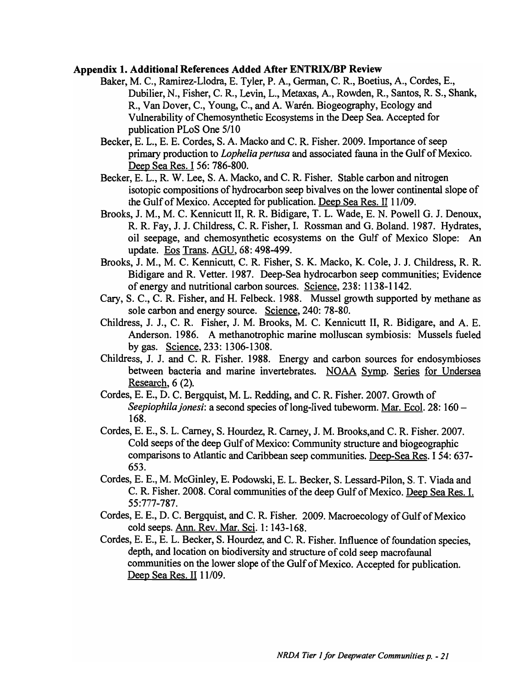#### Appendix 1. Additional References Added After ENTRIX/BP Review

- Baker, M. C., Ramirez-Llodra, E. Tyler, P. A., German, C. R., Boetius, A., Cordes, E., Dubilier, N., Fisher, C. R., Levin, L., Metaxas, A., Rowden, R., Santos, R. S., Shank, R., Van Dover, C., Young, C., and A. Warén. Biogeography, Ecology and Vulnerability of Chemosynthetic Ecosystems in the Deep Sea. Accepted for publication PLoS One 5/10
- Becker, E. L., E. E. Cordes, S. A. Macko and C. R. Fisher. 2009. Importance of seep primary production to *Lophelia pertusa* and associated fauna in the Gulf of Mexico. Deep Sea Res. I 56: 786-800.
- Becker, E. L., R. W. Lee, S. A. Macko, and C. R. Fisher. Stable carbon and nitrogen isotopic compositions of hydrocarbon seep bivalves on the lower continental slope of the Gulf of Mexico. Accepted for publication. Deep Sea Res. II 11/09.
- Brooks, J. M., M. C. Kennicutt II, R. R. Bidigare, T. L. Wade, E. N. Powell G. J. Denoux, R. R. Fay, J. J. Childress, C. R. Fisher, I. Rossman and G. Boland. 1987. Hydrates, oil seepage, and chemosynthetic ecosystems on the Gulf of Mexico Slope: An update. Eos Trans. AGU, 68: 498-499.
- Brooks, J. M., M. C. Kennicutt, C. R. Fisher, S. K. Macko, K. Cole, J. J. Childress, R. R. Bidigare and R. Vetter. 1987. Deep-Sea hydrocarbon seep communities; Evidence of energy and nutritional carbon sources. Science, 238: 1138-1142.
- Cary, S. C., C. R. Fisher, and H. Felbeck. 1988. Mussel growth supported by methane as sole carbon and energy source. Science, 240: 78-80.
- Childress, J. J., C. R. Fisher, J. M. Brooks, M. C. Kennicutt II, R. Bidigare, and A. E. Anderson. 1986. A methanotrophic marine molluscan symbiosis: Mussels fueled by gas. Science, 233: 1306-1308.
- Childress, J. J. and C. R. Fisher. 1988. Energy and carbon sources for endosymbioses between bacteria and marine invertebrates. NOAA Symp. Series for Undersea Research, 6 (2).
- Cordes, E. E., D. C. Bergquist, M. L. Redding, and C. R. Fisher. 2007. Growth of *Seepiophila jonesi:* a second species of long-lived tubeworm. Mar. Ecol. 28: 160 -168.
- Cordes, E. E., S. L. Carney, S. Hourdez, R. Carney, J. M. Brooks,and C. R. Fisher. 2007. Cold seeps of the deep Gulf of Mexico: Community structure and biogeographic comparisons to Atlantic and Caribbean seep communities. Deep-Sea Res. 154: 637- 653.
- Cordes, E. E., M. McGinley, E. Podowski, E. L. Becker, S. Lessard-Pilon, S. T. Viada and C. R. Fisher. 2008. Coral communities of the deep Gulf of Mexico. Deep Sea Res. I. 55:777-787.
- Cordes, E. E., D. C. Bergquist, and C. R. Fisher. 2009. Macroecology of Gulf of Mexico cold seeps. Ann. Rev. Mar. Sci. 1: 143-168.
- Cordes, E. E., E. L. Becker, S. Hourdez, and C. R. Fisher. Influence of foundation species, depth, and location on biodiversity and structure of cold seep macrofaunal communities on the lower slope of the Gulf of Mexico. Accepted for publication. Deep Sea Res. II 11/09.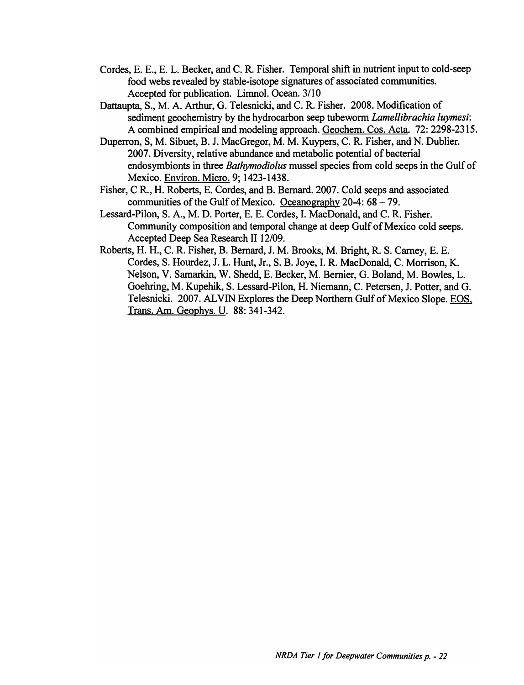- Cordes, E. E., E. L. Becker, and C. R. Fisher. Temporal shift in nutrient input to cold-seep food webs revealed by stable-isotope signatures of associated communities. Accepted for publication. Limnol. Ocean. 3/10
- Dattaupta, S., M. A. Arthur, G. Telesnicki, and C. R. Fisher. 2008. Modification of sediment geochemistry by the hydrocarbon seep tubeworm *Lamellibrachia luymesi:*  A combined empirical and modeling approach. Geochem. Cos. Acta. 72: 2298-2315.
- Duperron, S, M. Sibuet, B. J. MacGregor, M. M. Kuypers, C. R. Fisher, and N. Dublier. 2007. Diversity, relative abundance and metabolic potential of bacterial endosymbionts in three *Bathymodiolus* mussel species from cold seeps in the Gulf of Mexico. Environ. Micro. 9; 1423-1438.
- Fisher, CR., H. Roberts, E. Cordes, and B. Bernard. 2007. Cold seeps and associated communities of the Gulf of Mexico. Oceanography  $20-4$ :  $68-79$ .
- Lessard-Pilon, S. A., M. D. Porter, E. E. Cordes, I. MacDonald, and C. R. Fisher. Community composition and temporal change at deep Gulf of Mexico cold seeps. Accepted Deep Sea Research II 12/09.
- Roberts, H. H., C. R. Fisher, B. Bernard, J. M. Brooks, M. Bright, R. S. Carney, E. E. Cordes, S. Hourdez, J. L. Hunt, Jr., S. B. Joye, I. R. MacDonald, C. Morrison, K. Nelson, V. Samarkin, W. Shedd, E. Becker, M. Bernier, G. Boland, M. Bowles, L. Goehring, M. Kupehik, S. Lessard-Pilon, H. Niemann, C. Petersen, J. Potter, and G. Telesnicki. 2007. ALVIN Explores the Deep Northern Gulf of Mexico Slope. EOS, Trans. Am. Geophys. U. 88: 341-342.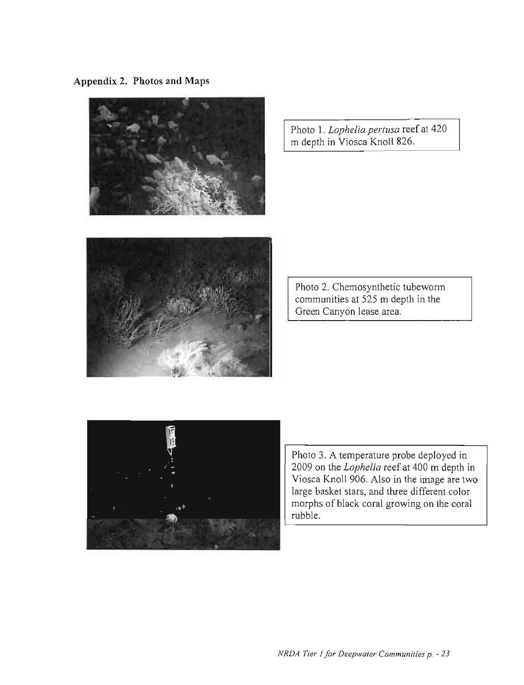### **Appendix 2. Photos and Maps**



Photo 1. *Lophelia pertusa* reef at 420 m depth **in** Viosca Knoll 826.



Photo 2. Chemosynthetic tubeworm communities at 525 m depth in the Green Canyon lease area.



Photo 3. A temperature probe deployed in 2009 **on** the *Lophelia* reef at 400 m depth in Viosca Knoll 906. Also in the image are two large basket stars, and three different color morphs of black coral growing on the coral rubble.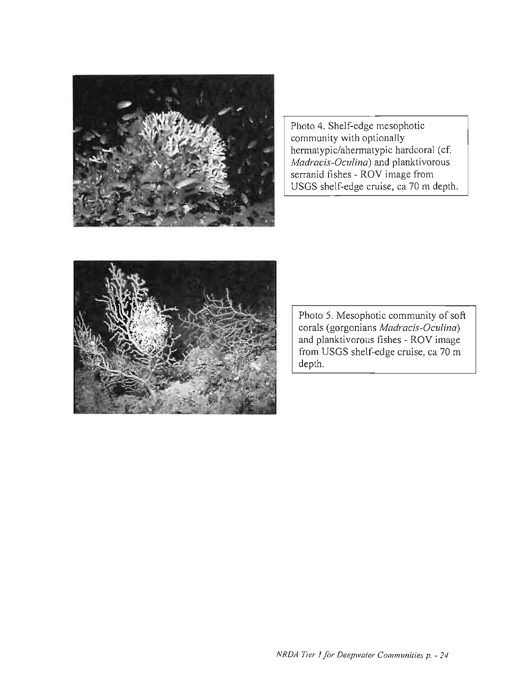

Photo 4. Shelf-edge mesophotic community with optionally hermatypic/ahermatypic hardcoral (cf. *Madracis-Oculina)* and planktivorous serranid fishes - ROV image from USGS shelf-edge cruise, ca 70 m depth.



Photo 5. Mesophotic community of soft corals (gorgonians *Madracis-Oculina)*  and planktivorous fishes - ROV image from USGS shelf-edge cruise, ca 70 m depth.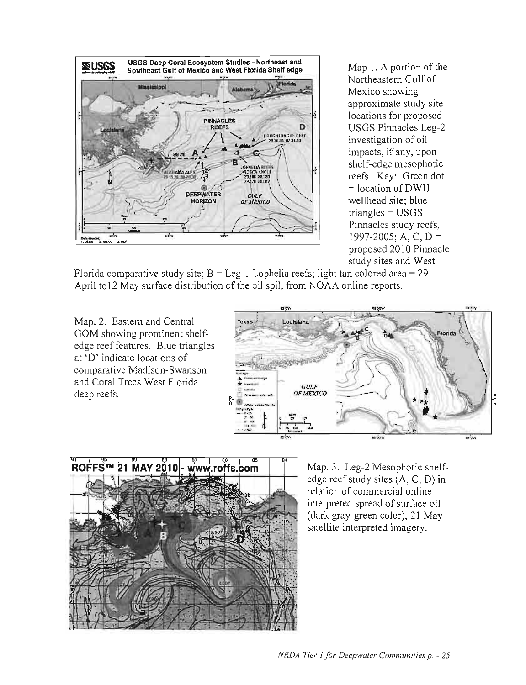

Northeastern Gulf of Mexico showing approximate study site locations for proposed USGS Pinnacles Leg-2 investigation of oil impacts, if any, upon shelf-edge mesophotic reefs. Key: Green dot  $=$  location of DWH wellhead site; blue triangles = USGS Pinnacles study reefs, 1997-2005; A, C, D = proposed 2010 Pinnacle study sites and West

Florida comparative study site;  $B = Leg-1$  Lophelia reefs; light tan colored area = 29 April tol2 May surface distribution of the oil spill from NOAA online reports.

Map. 2. Eastern and Central GOM showing prominent shelfedge reef features. Blue triangles at 'D' indicate locations of comparative Madison-Swanson and Coral Trees West Florida deep reefs.





Map. 3. Leg-2 Mesophotic shelfedge reef study sites (A, C, D) in relation of commercial online interpreted spread of surface oil (dark gray-green color), 21 May satellite interpreted imagery.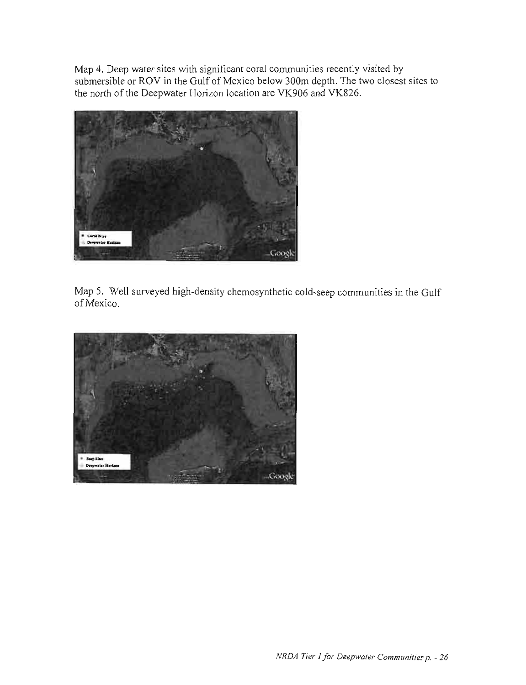Map 4. Deep water sites with significant coral communities recently visited by submersible or ROV in the Gulf of Mexico below 300m depth. The two closest sites to the north of the Deepwater Horizon location are VK906 and VK826.



Map 5. Well surveyed high-density chemosynthetic cold-seep communities in the Gulf of Mexico.

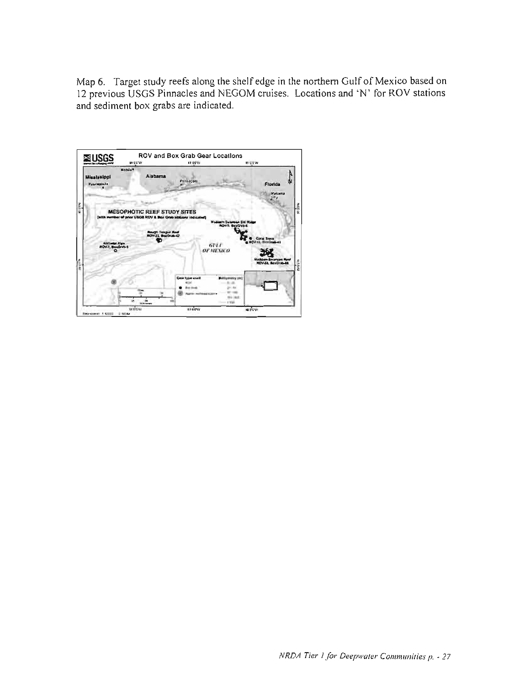Map 6. Target study reefs along the shelf edge in the northern Gulf of Mexico based on 12 previous USGS Pinnacles and NEGOM cruises. Locations and 'N' for ROV stations and sediment box grabs are indicated.

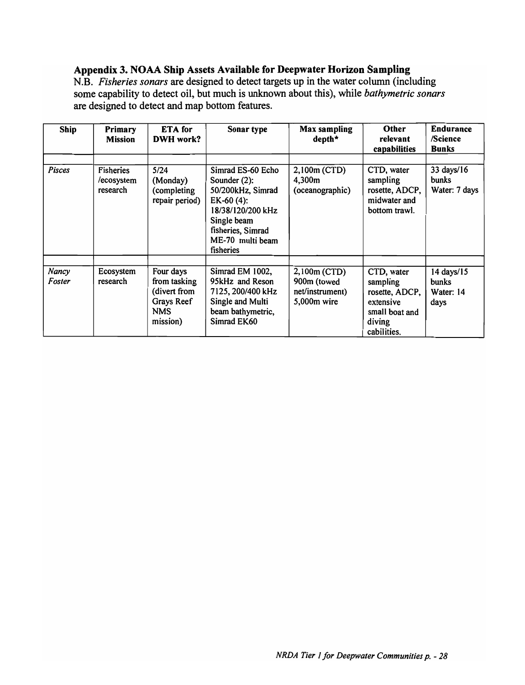# Appendix 3. NOAA Ship Assets Available for Deepwater Horizon Sampling

N.B. *Fisheries sonars* are designed to detect targets up in the water column (including some capability to detect oil, but much is unknown about this), while *bathymetric sonars*  are designed to detect and map bottom features.

| <b>Ship</b>     | Primary<br><b>Mission</b>                  | ETA for<br>DWH work?                                                              | Sonar type                                                                                                                                                          | <b>Max sampling</b><br>depth*                                 | Other<br>relevant<br>capabilities                                                                | <b>Endurance</b><br>/Science<br><b>Bunks</b> |
|-----------------|--------------------------------------------|-----------------------------------------------------------------------------------|---------------------------------------------------------------------------------------------------------------------------------------------------------------------|---------------------------------------------------------------|--------------------------------------------------------------------------------------------------|----------------------------------------------|
| <b>Pisces</b>   | <b>Fisheries</b><br>/ecosystem<br>research | 5/24<br>(Monday)<br>(completing<br>repair period)                                 | Simrad ES-60 Echo<br>Sounder $(2)$ :<br>50/200kHz, Simrad<br>$EK-60(4)$ :<br>18/38/120/200 kHz<br>Single beam<br>fisheries, Simrad<br>ME-70 multi beam<br>fisheries | 2,100m (CTD)<br>4,300m<br>(oceanographic)                     | CTD, water<br>sampling<br>rosette, ADCP,<br>midwater and<br>bottom trawl.                        | 33 days/16<br><b>bunks</b><br>Water: 7 days  |
| Nancy<br>Foster | Ecosystem<br>research                      | Four days<br>from tasking<br>(divert from<br>Grays Reef<br><b>NMS</b><br>mission) | Simrad EM 1002,<br>95kHz and Reson<br>7125, 200/400 kHz<br>Single and Multi<br>beam bathymetric,<br>Simrad EK60                                                     | 2,100m (CTD)<br>900m (towed<br>net/instrument)<br>5,000m wire | CTD, water<br>sampling<br>rosette, ADCP,<br>extensive<br>small boat and<br>diving<br>cabilities. | 14 days/15<br>bunks<br>Water: 14<br>days     |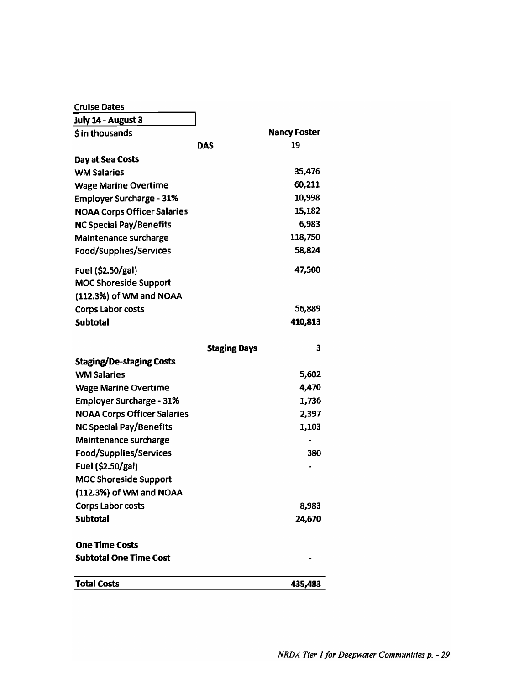| <b>Cruise Dates</b>                |                     |                     |
|------------------------------------|---------------------|---------------------|
| July 14 - August 3                 |                     |                     |
| \$ in thousands                    |                     | <b>Nancy Foster</b> |
|                                    | <b>DAS</b>          | 19                  |
| Day at Sea Costs                   |                     |                     |
| <b>WM Salaries</b>                 |                     | 35,476              |
| <b>Wage Marine Overtime</b>        |                     | 60,211              |
| <b>Employer Surcharge - 31%</b>    |                     | 10,998              |
| <b>NOAA Corps Officer Salaries</b> |                     | 15,182              |
| <b>NC Special Pay/Benefits</b>     |                     | 6,983               |
| Maintenance surcharge              |                     | 118,750             |
| Food/Supplies/Services             |                     | 58,824              |
| Fuel (\$2.50/gal)                  |                     | 47,500              |
| <b>MOC Shoreside Support</b>       |                     |                     |
| (112.3%) of WM and NOAA            |                     |                     |
| <b>Corps Labor costs</b>           |                     | 56,889              |
| <b>Subtotal</b>                    |                     | 410,813             |
|                                    | <b>Staging Days</b> | 3                   |
| <b>Staging/De-staging Costs</b>    |                     |                     |
| <b>WM Salaries</b>                 |                     | 5,602               |
| <b>Wage Marine Overtime</b>        |                     | 4,470               |
| <b>Employer Surcharge - 31%</b>    |                     | 1,736               |
| <b>NOAA Corps Officer Salaries</b> |                     | 2,397               |
| <b>NC Special Pay/Benefits</b>     |                     | 1,103               |
| Maintenance surcharge              |                     |                     |
| Food/Supplies/Services             |                     | 380                 |
| Fuel (\$2.50/gal)                  |                     |                     |
| <b>MOC Shoreside Support</b>       |                     |                     |
| (112.3%) of WM and NOAA            |                     |                     |
| <b>Corps Labor costs</b>           |                     | 8,983               |
| <b>Subtotal</b>                    |                     | 24,670              |
| <b>One Time Costs</b>              |                     |                     |
| <b>Subtotal One Time Cost</b>      |                     |                     |
| <b>Total Costs</b>                 |                     | 435,483             |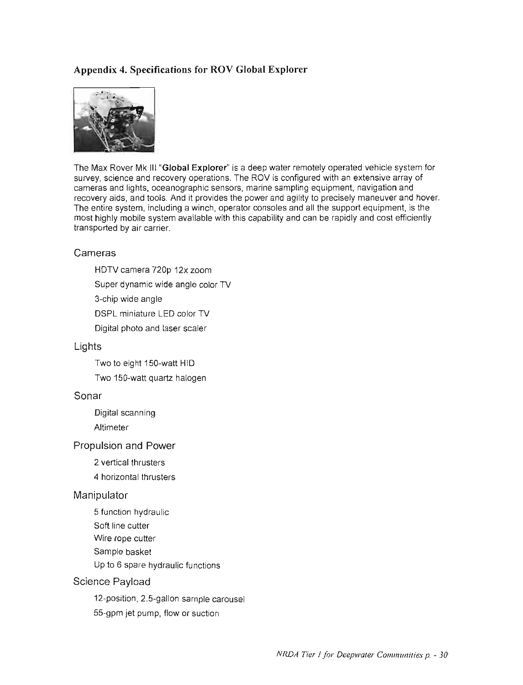# **Appendix 4. Specifications for ROY Global Explorer**



The Max Rover Mk III "Global Explorer" is a deep water remotely operated vehicle system for survey, science and recovery operations. The ROV is configured with an extensive array of cameras and lights, oceanographic sensors, marine sampling equipment, navigation and recovery aids, and tools. And it provides the power and agility to precisely maneuver and hover. The entire system, including a winch, operator consoles and all the support equipment, is the most highly mobile system available with this capability and can be rapidly and cost efficiently transported by air carrier.

#### Cameras

HDTV camera 720p 12x zoom Super dynamic wide angle color TV 3-chip wide angle DSPL miniature LED color TV Digital photo and laser scaler

#### Lights

Two to eight 150-watt HID

Two 150-watt quartz halogen

#### Sonar

Digital scanning Altimeter

#### Propulsion and Power

2 vertical thrusters

4 horizontal thrusters

#### Manipulator

5 function hydraulic Soft line cutter Wire rope cutter Sample basket Up to 6 spare hydraulic functions

#### Science Payload

12-position, 2.5-gallon sample carousel 55-gpm jet pump, flow or suction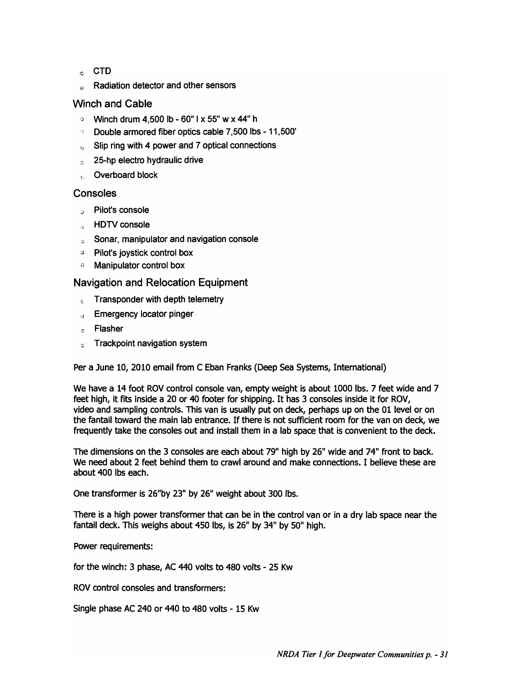- $c$  CTD
- <sup>G</sup> Radiation detector and other sensors

#### Winch and Cable

- **Winch drum 4,500 lb 60" I x 55" w x 44" h**
- ,~ Double armored fiber optics cable 7,500 Ibs 11,500'
- $\epsilon$  Slip ring with 4 power and 7 optical connections
- $\degree$  25-hp electro hydraulic drive
- $c<sub>c</sub>$  Overboard block

#### Consoles

- .) Pilot's console
- '.) HDTV console
- $\sim$  Sonar, manipulator and navigation console
- **Pilot's joystick control box**
- .] Manipulator control box

#### Navigation and Relocation Equipment

- $\epsilon$  Transponder with depth telemetry
- 13 Emergency locator pinger
- $\circ$  Flasher
- ," Trackpoint navigation system

Per a June 10, 2010 email from C Eban Franks (Deep Sea Systems, International)

We have a 14 foot ROV control console van, empty weight is about 1000 Ibs. 7 feet wide and 7 feet high, it fits inside a 20 or 40 footer for shipping. It has 3 consoles inside it for ROV, video and sampling controls. This van is usually put on deck, perhaps up on the 01 level or on the fantail toward the main lab entrance. If there is not sufficient room for the van on deck, we frequently take the consoles out and install them in a lab space that is convenient to the deck.

The dimensions on the 3 consoles are each about 79" high by 26" wide and 74" front to back. We need about 2 feet behind them to crawl around and make connections. I believe these are about 400 Ibs each.

One transformer is 26"by 23" by 26" weight about 300 Ibs.

There is a high power transformer that can be in the control van or in a dry lab space near the fantail deck. This weighs about 450 Ibs, is 26" by 34" by 50" high.

Power requirements:

for the winch: 3 phase, AC 440 volts to 480 volts - 25 Kw

ROV control consoles and transformers:

Single phase AC 240 or 440 to 480 volts - 15 Kw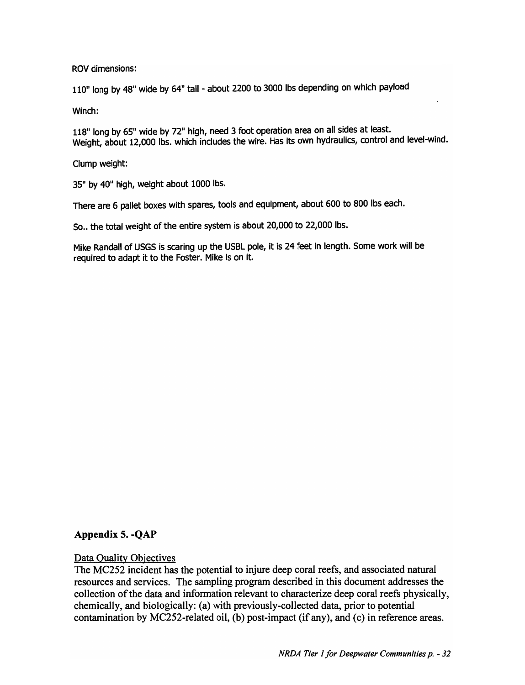#### ROV dimensions:

110" long by 48" wide by 64" tall- about 2200 to 3000 Ibs depending on which payload

Winch:

118" long by 65" wide by 72" high, need 3 foot operation area on all sides at least. Weight, about 12,000 Ibs. which includes the wire. Has its own hydraulics, control and level-wind.

Clump weight:

35" by 40" high, weight about 1000 Ibs.

There are 6 pallet boxes with spares, tools and equipment, about 600 to 800 lbs each.

So.. the total weight of the entire system is about 20,000 to 22,000 lbs.

Mike Randall of USGS is scaring up the USBL pole, it is 24 feet in length. Some work will be required to adapt it to the Foster. Mike is on it.

### Appendix 5. -QAP

#### Data Quality Objectives

The MC252 incident has the potential to injure deep coral reefs, and associated natural resources and services. The sampling program described in this document addresses the collection of the data and information relevant to characterize deep coral reefs physically, chemically, and biologically: (a) with previously-collected data, prior to potential contamination by MC252-related oil, (b) post-impact (if any), and (c) in reference areas.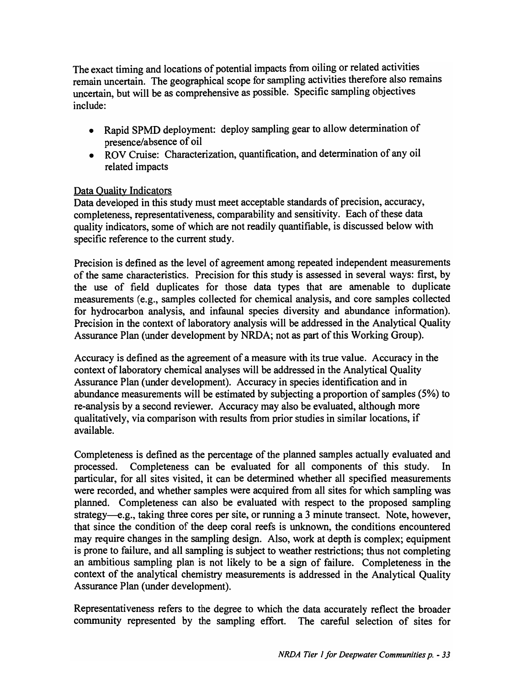The exact timing and locations of potential impacts from oiling or related activities remain uncertain. The geographical scope for sampling activities therefore also remains uncertain, but will be as comprehensive as possible. Specific sampling objectives include:

- Rapid SPMD deployment: deploy sampling gear to allow determination of presence/absence of oil
- ROV Cruise: Characterization, quantification, and determination of any oil related impacts

# Data Quality Indicators

Data developed in this study must meet acceptable standards of precision, accuracy, completeness, representativeness, comparability and sensitivity. Each of these data quality indicators, some of which are not readily quantifiable, is discussed below with specific reference to the current study.

Precision is defined as the level of agreement among repeated independent measurements of the same characteristics. Precision for this study is assessed in several ways: first, by the use of field duplicates for those data types that are amenable to duplicate measurements (e.g., samples collected for chemical analysis, and core samples collected for hydrocarbon analysis, and infaunal species diversity and abundance information). Precision in the context of laboratory analysis will be addressed in the Analytical Quality Assurance Plan (under development by NRDA; not as part of this Working Group).

Accuracy is defined as the agreement of a measure with its true value. Accuracy in the context of laboratory chemical analyses will be addressed in the Analytical Quality Assurance Plan (under development). Accuracy in species identification and in abundance measurements will be estimated by subjecting a proportion of samples (5%) to re-analysis by a second reviewer. Accuracy may also be evaluated, although more qualitatively, via comparison with results from prior studies in similar locations, if available.

Completeness is defined as the percentage of the planned samples actually evaluated and processed. Completeness can be evaluated for all components of this study. In particular, for all sites visited, it can be determined whether all specified measurements were recorded, and whether samples were acquired from all sites for which sampling was planned. Completeness can also be evaluated with respect to the proposed sampling strategy—e.g., taking three cores per site, or running a 3 minute transect. Note, however, that since the condition of the deep coral reefs is unknown, the conditions encountered may require changes in the sampling design. Also, work at depth is complex; equipment is prone to failure, and all sampling is subject to weather restrictions; thus not completing an ambitious sampling plan is not likely to be a sign of failure. Completeness in the context of the analytical chemistry measurements is addressed in the Analytical Quality Assurance Plan (under development).

Representativeness refers to the degree to which the data accurately reflect the broader community represented by the sampling effort. The careful selection of sites for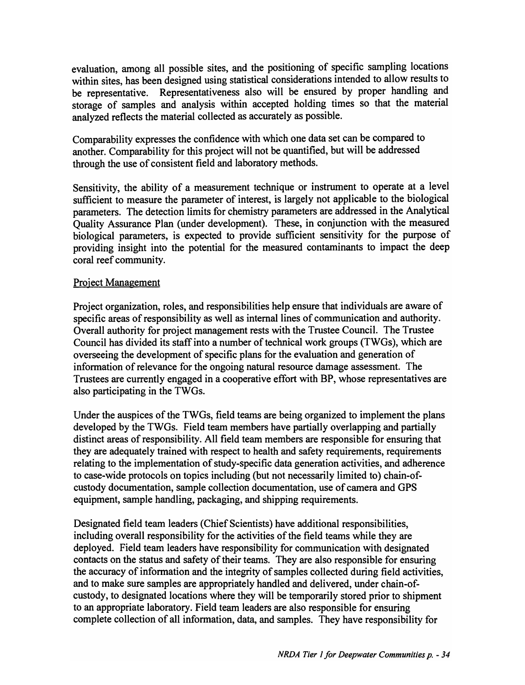evaluation, among all possible sites, and the positioning of specific sampling locations within sites, has been designed using statistical considerations intended to allow results to be representative. Representativeness also will be ensured by proper handling and storage of samples and analysis within accepted holding times so that the material analyzed reflects the material collected as accurately as possible.

Comparability expresses the confidence with which one data set can be compared to another. Comparability for this project will not be quantified, but will be addressed through the use of consistent field and laboratory methods.

Sensitivity, the ability of a measurement technique or instrument to operate at a level sufficient to measure the parameter of interest, is largely not applicable to the biological parameters. The detection limits for chemistry parameters are addressed in the Analytical Quality Assurance Plan (under development). These, in conjunction with the measured biological parameters, is expected to provide sufficient sensitivity for the purpose of providing insight into the potential for the measured contaminants to impact the deep coral reef community.

#### Project Management

Project organization, roles, and responsibilities help ensure that individuals are aware of specific areas of responsibility as well as internal lines of communication and authority. Overall authority for project management rests with the Trustee Council. The Trustee Council has divided its staff into a number of technical work groups (TWOs), which are overseeing the development of specific plans for the evaluation and generation of information of relevance for the ongoing natural resource damage assessment. The Trustees are currently engaged in a cooperative effort with BP, whose representatives are also participating in the TWOs.

Under the auspices of the TWOs, field teams are being organized to implement the plans developed by the TWOs. Field team members have partially overlapping and partially distinct areas of responsibility. All field team members are responsible for ensuring that they are adequately trained with respect to health and safety requirements, requirements relating to the implementation of study-specific data generation activities, and adherence to case-wide protocols on topics including (but not necessarily limited to) chain-ofcustody documentation, sample collection documentation, use of camera and OPS equipment, sample handling, packaging, and shipping requirements.

Designated field team leaders (Chief Scientists) have additional responsibilities, including overall responsibility for the activities of the field teams while they are deployed. Field team leaders have responsibility for communication with designated contacts on the status and safety of their teams. They are also responsible for ensuring the accuracy of information and the integrity of samples collected during field activities, and to make sure samples are appropriately handled and delivered, under chain-ofcustody, to designated locations where they will be temporarily stored prior to shipment to an appropriate laboratory. Field team leaders are also responsible for ensuring complete collection of all information, data, and samples. They have responsibility for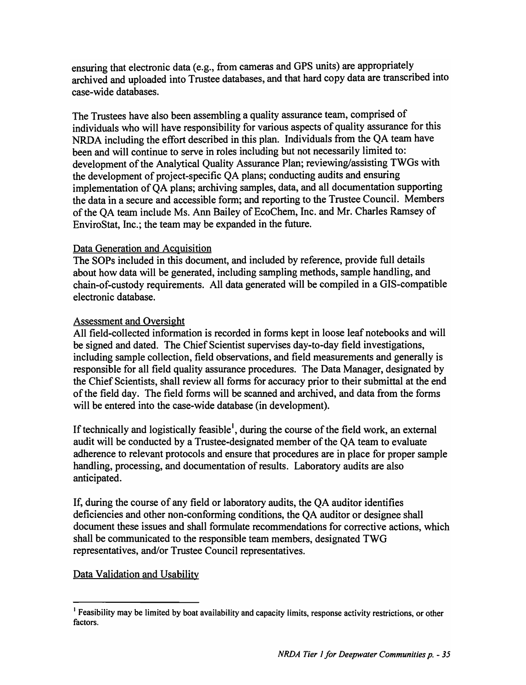enswing that electronic data (e.g., from cameras and GPS units) are appropriately archived and uploaded into Trustee databases, and that hard copy data are transcribed into case-wide databases.

The Trustees have also been assembling a quality assurance team, comprised of individuals who will have responsibility for various aspects of quality assurance for this NRDA including the effort described in this plan. Individuals from the QA team have been and will continue to serve in roles including but not necessarily limited to: development of the Analytical Quality Assurance Plan; reviewing/assisting TWGs with the development of project-specific QA plans; conducting audits and enswing implementation of QA plans; archiving samples, data, and all documentation supporting the data in a secure and accessible form; and reporting to the Trustee Council. Members of the QA team include Ms. Ann Bailey of EcoChem, Inc. and Mr. Charles Ramsey of EnviroStat, Inc.; the team may be expanded in the future.

### Data Generation and Acquisition

The SOPs included in this document, and included by reference, provide full details about how data will be generated, including sampling methods, sample handling, and chain-of-custody requirements. All data generated will be compiled in a GIS-compatible electronic database.

#### Assessment and Oversight

All field-collected information is recorded in forms kept in loose leaf notebooks and will be signed and dated. The Chief Scientist supervises day-to-day field investigations, including sample collection, field observations, and field measurements and generally is responsible for all field quality assurance procedures. The Data Manager, designated by the Chief Scientists, shall review all forms for accuracy prior to their submittal at the end of the field day. The field forms will be scanned and archived, and data from the forms will be entered into the case-wide database (in development).

If technically and logistically feasible<sup>1</sup>, during the course of the field work, an external audit will be conducted by a Trustee-designated member of the QA team to evaluate adherence to relevant protocols and ensure that procedures are in place for proper sample handling, processing, and documentation of results. Laboratory audits are also anticipated.

If, dwing the course of any field or laboratory audits, the QA auditor identifies deficiencies and other non-conforming conditions, the QA auditor or designee shall document these issues and shall formulate recommendations for corrective actions, which shall be communicated to the responsible team members, designated TWG representatives, and/or Trustee Council representatives.

### Data Validation and Usability

<sup>&</sup>lt;sup>1</sup> Feasibility may be limited by boat availability and capacity limits, response activity restrictions, or other factors.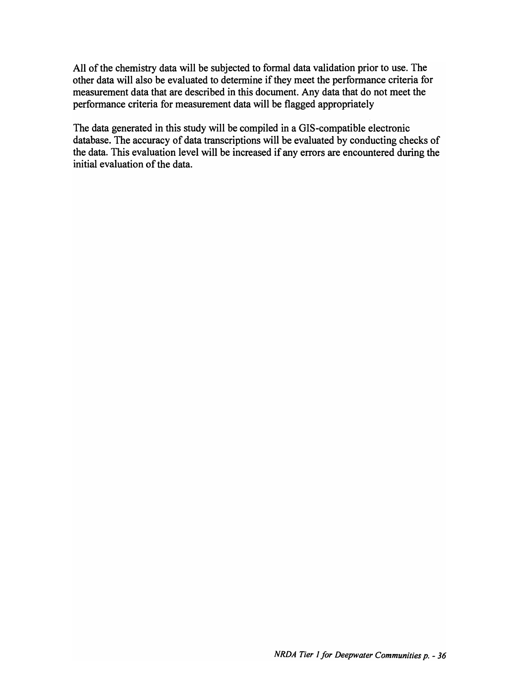All of the chemistry data will be subjected to formal data validation prior to use. The other data will also be evaluated to determine if they meet the performance criteria for measurement data that are described in this document. Any data that do not meet the performance criteria for measurement data will be flagged appropriately

The data generated in this study will be compiled in a GIS-compatible electronic database. The accuracy of data transcriptions will be evaluated by conducting checks of the data. This evaluation level will be increased if any errors are encountered during the initial evaluation of the data.